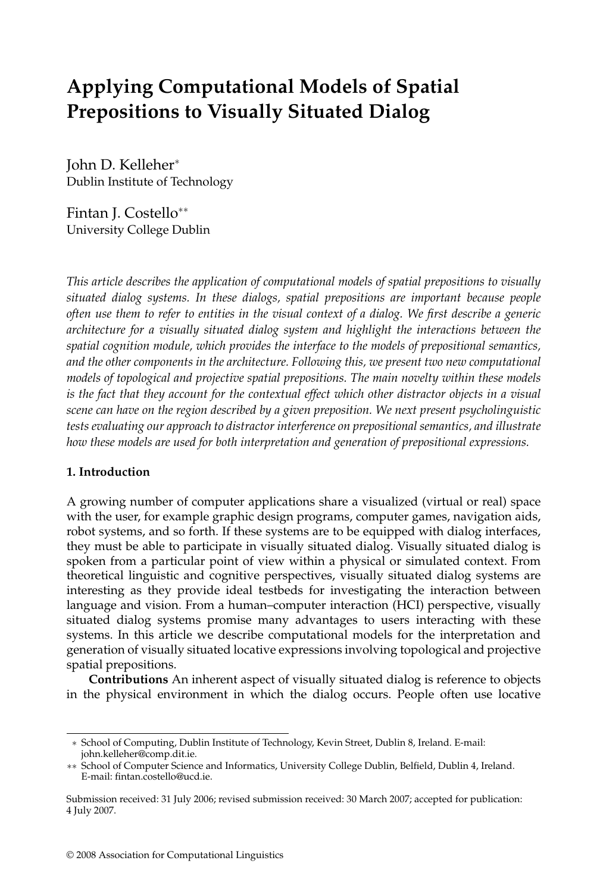# **Applying Computational Models of Spatial Prepositions to Visually Situated Dialog**

John D. Kelleher<sup>∗</sup> Dublin Institute of Technology

Fintan J. Costello∗∗ University College Dublin

*This article describes the application of computational models of spatial prepositions to visually situated dialog systems. In these dialogs, spatial prepositions are important because people often use them to refer to entities in the visual context of a dialog. We first describe a generic architecture for a visually situated dialog system and highlight the interactions between the spatial cognition module, which provides the interface to the models of prepositional semantics, and the other components in the architecture. Following this, we present two new computational models of topological and projective spatial prepositions. The main novelty within these models is the fact that they account for the contextual effect which other distractor objects in a visual scene can have on the region described by a given preposition. We next present psycholinguistic tests evaluating our approach to distractor interference on prepositional semantics, and illustrate how these models are used for both interpretation and generation of prepositional expressions.*

### **1. Introduction**

A growing number of computer applications share a visualized(virtual or real) space with the user, for example graphic design programs, computer games, navigation aids, robot systems, and so forth. If these systems are to be equipped with dialog interfaces, they must be able to participate in visually situated dialog. Visually situated dialog is spoken from a particular point of view within a physical or simulated context. From theoretical linguistic and cognitive perspectives, visually situated dialog systems are interesting as they provide ideal testbeds for investigating the interaction between language and vision. From a human–computer interaction (HCI) perspective, visually situated dialog systems promise many advantages to users interacting with these systems. In this article we describe computational models for the interpretation and generation of visually situated locative expressions involving topological and projective spatial prepositions.

**Contributions** An inherent aspect of visually situated dialog is reference to objects in the physical environment in which the dialog occurs. People often use locative

<sup>∗</sup> School of Computing, Dublin Institute of Technology, Kevin Street, Dublin 8, Ireland. E-mail: john.kelleher@comp.dit.ie.

<sup>∗∗</sup> School of Computer Science and Informatics, University College Dublin, Belfield, Dublin 4, Ireland. E-mail: fintan.costello@ucd.ie.

Submission received: 31 July 2006; revised submission received: 30 March 2007; accepted for publication: 4 July 2007.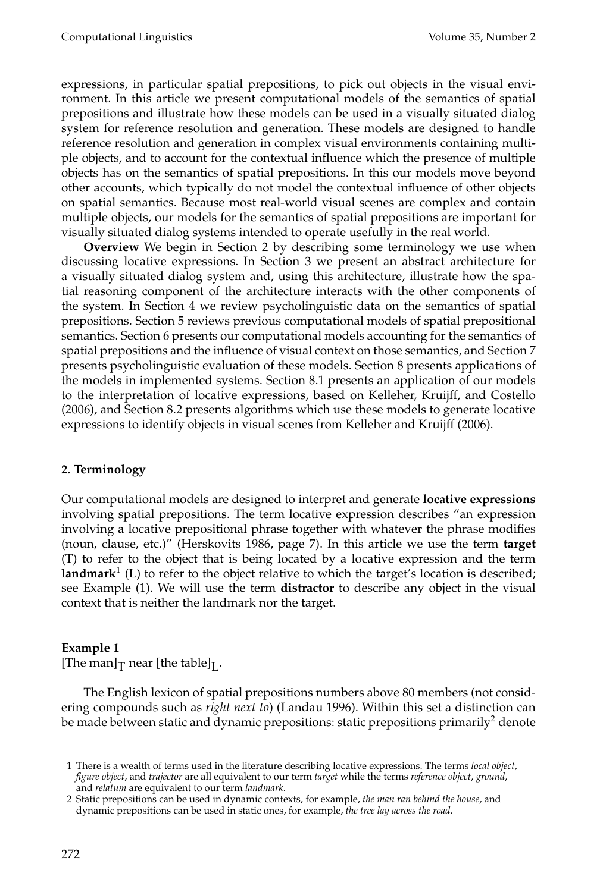expressions, in particular spatial prepositions, to pick out objects in the visual environment. In this article we present computational models of the semantics of spatial prepositions and illustrate how these models can be used in a visually situated dialog system for reference resolution and generation. These models are designed to handle reference resolution andgeneration in complex visual environments containing multiple objects, and to account for the contextual influence which the presence of multiple objects has on the semantics of spatial prepositions. In this our models move beyond other accounts, which typically do not model the contextual influence of other objects on spatial semantics. Because most real-world visual scenes are complex and contain multiple objects, our models for the semantics of spatial prepositions are important for visually situated dialog systems intended to operate usefully in the real world.

**Overview** We begin in Section 2 by describing some terminology we use when discussing locative expressions. In Section 3 we present an abstract architecture for a visually situated dialog system and, using this architecture, illustrate how the spatial reasoning component of the architecture interacts with the other components of the system. In Section 4 we review psycholinguistic data on the semantics of spatial prepositions. Section 5 reviews previous computational models of spatial prepositional semantics. Section 6 presents our computational models accounting for the semantics of spatial prepositions and the influence of visual context on those semantics, and Section 7 presents psycholinguistic evaluation of these models. Section 8 presents applications of the models in implemented systems. Section 8.1 presents an application of our models to the interpretation of locative expressions, based on Kelleher, Kruijff, and Costello (2006), and Section 8.2 presents algorithms which use these models to generate locative expressions to identify objects in visual scenes from Kelleher and Kruijff (2006).

# **2. Terminology**

Our computational models are designed to interpret and generate **locative expressions** involving spatial prepositions. The term locative expression describes "an expression involving a locative prepositional phrase together with whatever the phrase modifies (noun, clause, etc.)" (Herskovits 1986, page 7). In this article we use the term **target**  $(T)$  to refer to the object that is being located by a locative expression and the term **landmark**<sup>1</sup> (L) to refer to the object relative to which the target's location is described; see Example (1). We will use the term **distractor** to describe any object in the visual context that is neither the landmark nor the target.

# **Example 1**

[The man] $_T$  near [the table] $_L$ .

The English lexicon of spatial prepositions numbers above 80 members (not considering compounds such as *right next to*) (Landau 1996). Within this set a distinction can be made between static and dynamic prepositions: static prepositions primarily<sup>2</sup> denote

<sup>1</sup> There is a wealth of terms usedin the literature describing locative expressions. The terms *local object*, *figure object*, and *trajector* are all equivalent to our term *target* while the terms *reference object*, *ground*, and *relatum* are equivalent to our term *landmark*.

<sup>2</sup> Static prepositions can be usedin dynamic contexts, for example, *the man ran behind the house*, and dynamic prepositions can be used in static ones, for example, *the tree lay across the road*.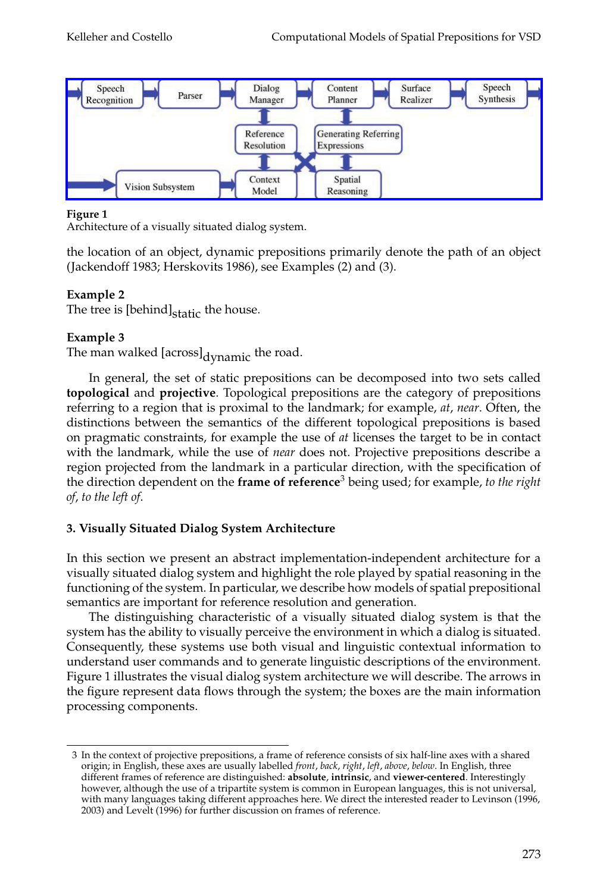

Architecture of a visually situated dialog system.

the location of an object, dynamic prepositions primarily denote the path of an object (Jackendoff 1983; Herskovits 1986), see Examples (2) and (3).

# **Example 2**

The tree is  $[behind]_{static}$  the house.

# **Example 3**

The man walked [across]<sub>dynamic</sub> the road.

In general, the set of static prepositions can be decomposed into two sets called **topological** and **projective**. Topological prepositions are the category of prepositions referring to a region that is proximal to the landmark; for example, *at*, *near*. Often, the distinctions between the semantics of the different topological prepositions is based on pragmatic constraints, for example the use of *at* licenses the target to be in contact with the landmark, while the use of *near* does not. Projective prepositions describe a region projected from the landmark in a particular direction, with the specification of the direction dependent on the **frame of reference**<sup>3</sup> being used; for example, *to the right of*, *to the left of*.

# **3. Visually Situated Dialog System Architecture**

In this section we present an abstract implementation-independent architecture for a visually situated dialog system and highlight the role played by spatial reasoning in the functioning of the system. In particular, we describe how models of spatial prepositional semantics are important for reference resolution and generation.

The distinguishing characteristic of a visually situated dialog system is that the system has the ability to visually perceive the environment in which a dialog is situated. Consequently, these systems use both visual and linguistic contextual information to understand user commands and to generate linguistic descriptions of the environment. Figure 1 illustrates the visual dialog system architecture we will describe. The arrows in the figure represent data flows through the system; the boxes are the main information processing components.

<sup>3</sup> In the context of projective prepositions, a frame of reference consists of six half-line axes with a shared origin; in English, these axes are usually labelled *front*, *back*, *right*, *left*, *above*, *below*. In English, three different frames of reference are distinguished: **absolute**, **intrinsic**, and **viewer-centered**. Interestingly however, although the use of a tripartite system is common in European languages, this is not universal, with many languages taking different approaches here. We direct the interested reader to Levinson (1996, 2003) and Levelt (1996) for further discussion on frames of reference.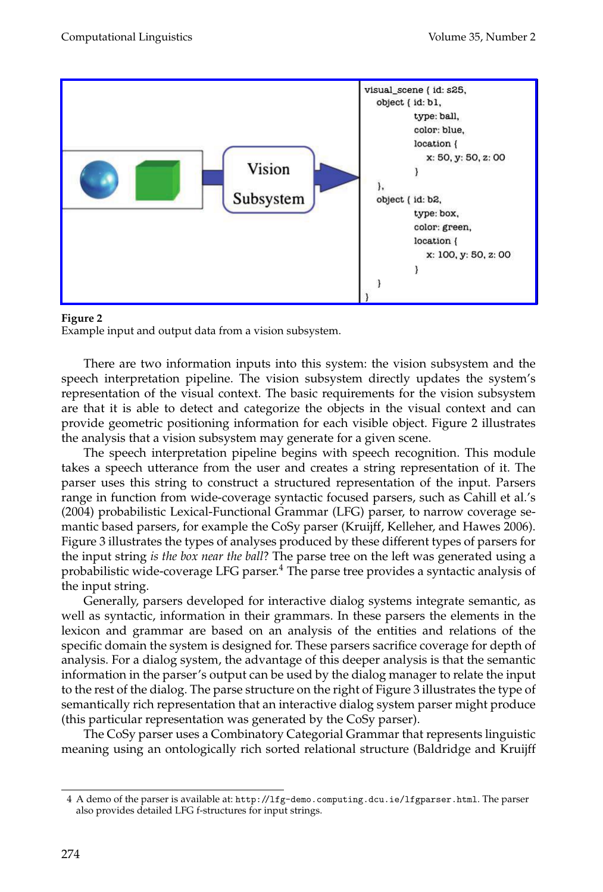

Example input and output data from a vision subsystem.

There are two information inputs into this system: the vision subsystem and the speech interpretation pipeline. The vision subsystem directly updates the system's representation of the visual context. The basic requirements for the vision subsystem are that it is able to detect and categorize the objects in the visual context and can provide geometric positioning information for each visible object. Figure 2 illustrates the analysis that a vision subsystem may generate for a given scene.

The speech interpretation pipeline begins with speech recognition. This module takes a speech utterance from the user and creates a string representation of it. The parser uses this string to construct a structured representation of the input. Parsers range in function from wide-coverage syntactic focused parsers, such as Cahill et al.'s (2004) probabilistic Lexical-Functional Grammar (LFG) parser, to narrow coverage semantic based parsers, for example the CoSy parser (Kruijff, Kelleher, and Hawes 2006). Figure 3 illustrates the types of analyses produced by these different types of parsers for the input string *is the box near the ball*? The parse tree on the left was generatedusing a probabilistic wide-coverage LFG parser.<sup>4</sup> The parse tree provides a syntactic analysis of the input string.

Generally, parsers developed for interactive dialog systems integrate semantic, as well as syntactic, information in their grammars. In these parsers the elements in the lexicon and grammar are based on an analysis of the entities and relations of the specific domain the system is designed for. These parsers sacrifice coverage for depth of analysis. For a dialog system, the advantage of this deeper analysis is that the semantic information in the parser's output can be usedby the dialog manager to relate the input to the rest of the dialog. The parse structure on the right of Figure 3 illustrates the type of semantically rich representation that an interactive dialog system parser might produce (this particular representation was generated by the CoSy parser).

The CoSy parser uses a Combinatory Categorial Grammar that represents linguistic meaning using an ontologically rich sorted relational structure (Baldridge and Kruijff

<sup>4</sup> A demo of the parser is available at: http://lfg-demo.computing.dcu.ie/lfgparser.html. The parser also provides detailed LFG f-structures for input strings.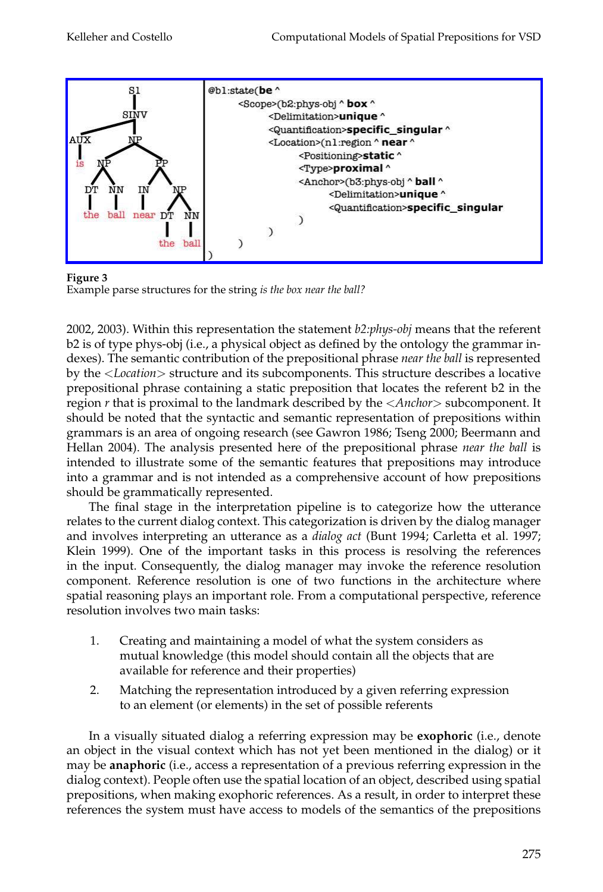

**Figure 3**

Example parse structures for the string *is the box near the ball?*

2002, 2003). Within this representation the statement *b2:phys-obj* means that the referent b2 is of type phys-obj (i.e., a physical object as defined by the ontology the grammar indexes). The semantic contribution of the prepositional phrase *near the ball* is represented by the <*Location*> structure andits subcomponents. This structure describes a locative prepositional phrase containing a static preposition that locates the referent b2 in the region *r* that is proximal to the landmark described by the <*Anchor*> subcomponent. It should be noted that the syntactic and semantic representation of prepositions within grammars is an area of ongoing research (see Gawron 1986; Tseng 2000; Beermann and Hellan 2004). The analysis presented here of the prepositional phrase *near the ball* is intended to illustrate some of the semantic features that prepositions may introduce into a grammar and is not intended as a comprehensive account of how prepositions should be grammatically represented.

The final stage in the interpretation pipeline is to categorize how the utterance relates to the current dialog context. This categorization is driven by the dialog manager andinvolves interpreting an utterance as a *dialog act* (Bunt 1994; Carletta et al. 1997; Klein 1999). One of the important tasks in this process is resolving the references in the input. Consequently, the dialog manager may invoke the reference resolution component. Reference resolution is one of two functions in the architecture where spatial reasoning plays an important role. From a computational perspective, reference resolution involves two main tasks:

- 1. Creating and maintaining a model of what the system considers as mutual knowledge (this model should contain all the objects that are available for reference and their properties)
- 2. Matching the representation introduced by a given referring expression to an element (or elements) in the set of possible referents

In a visually situated dialog a referring expression may be **exophoric** (i.e., denote an object in the visual context which has not yet been mentionedin the dialog) or it may be **anaphoric** (i.e., access a representation of a previous referring expression in the dialog context). People often use the spatial location of an object, described using spatial prepositions, when making exophoric references. As a result, in order to interpret these references the system must have access to models of the semantics of the prepositions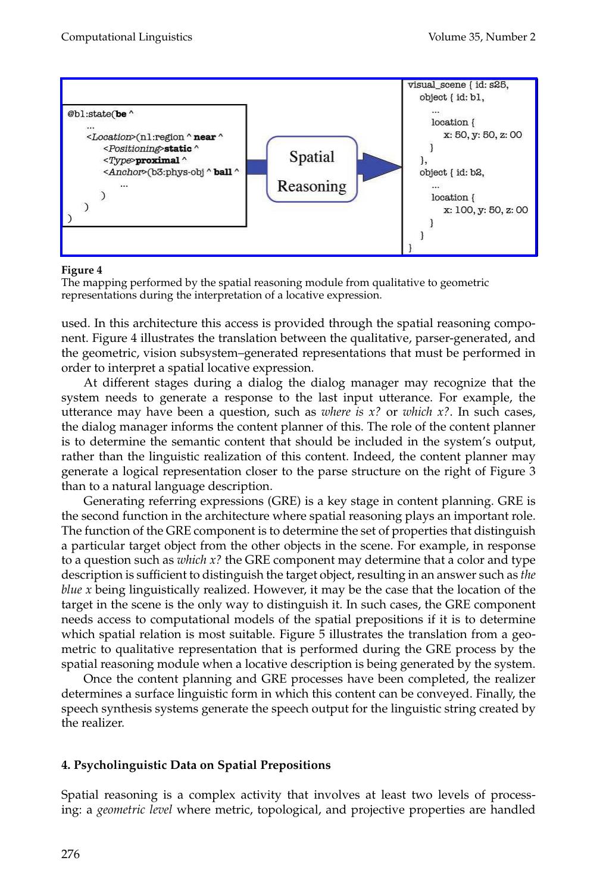

The mapping performed by the spatial reasoning module from qualitative to geometric representations during the interpretation of a locative expression.

used. In this architecture this access is provided through the spatial reasoning component. Figure 4 illustrates the translation between the qualitative, parser-generated, and the geometric, vision subsystem–generated representations that must be performed in order to interpret a spatial locative expression.

At different stages during a dialog the dialog manager may recognize that the system needs to generate a response to the last input utterance. For example, the utterance may have been a question, such as *where is x?* or *which x?*. In such cases, the dialog manager informs the content planner of this. The role of the content planner is to determine the semantic content that should be included in the system's output, rather than the linguistic realization of this content. Indeed, the content planner may generate a logical representation closer to the parse structure on the right of Figure 3 than to a natural language description.

Generating referring expressions (GRE) is a key stage in content planning. GRE is the second function in the architecture where spatial reasoning plays an important role. The function of the GRE component is to determine the set of properties that distinguish a particular target object from the other objects in the scene. For example, in response to a question such as *which x?* the GRE component may determine that a color and type description is sufficient to distinguish the target object, resulting in an answer such as *the blue x* being linguistically realized. However, it may be the case that the location of the target in the scene is the only way to distinguish it. In such cases, the GRE component needs access to computational models of the spatial prepositions if it is to determine which spatial relation is most suitable. Figure 5 illustrates the translation from a geometric to qualitative representation that is performed during the GRE process by the spatial reasoning module when a locative description is being generated by the system.

Once the content planning andGRE processes have been completed, the realizer determines a surface linguistic form in which this content can be conveyed. Finally, the speech synthesis systems generate the speech output for the linguistic string created by the realizer.

# **4. Psycholinguistic Data on Spatial Prepositions**

Spatial reasoning is a complex activity that involves at least two levels of processing: a *geometric level* where metric, topological, and projective properties are handled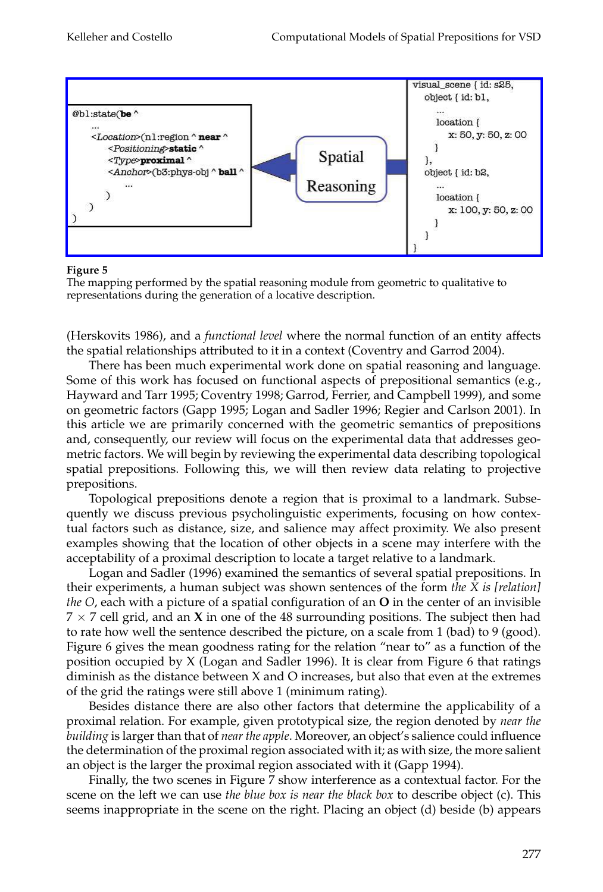

The mapping performed by the spatial reasoning module from geometric to qualitative to representations during the generation of a locative description.

(Herskovits 1986), anda *functional level* where the normal function of an entity affects the spatial relationships attributed to it in a context (Coventry and Garrod 2004).

There has been much experimental work done on spatial reasoning and language. Some of this work has focused on functional aspects of prepositional semantics (e.g., Hayward and Tarr 1995; Coventry 1998; Garrod, Ferrier, and Campbell 1999), and some on geometric factors (Gapp 1995; Logan and Sadler 1996; Regier and Carlson 2001). In this article we are primarily concernedwith the geometric semantics of prepositions and, consequently, our review will focus on the experimental data that addresses geometric factors. We will begin by reviewing the experimental data describing topological spatial prepositions. Following this, we will then review data relating to projective prepositions.

Topological prepositions denote a region that is proximal to a landmark. Subsequently we discuss previous psycholinguistic experiments, focusing on how contextual factors such as distance, size, and salience may affect proximity. We also present examples showing that the location of other objects in a scene may interfere with the acceptability of a proximal description to locate a target relative to a landmark.

Logan and Sadler (1996) examined the semantics of several spatial prepositions. In their experiments, a human subject was shown sentences of the form *the X is [relation] the O*, each with a picture of a spatial configuration of an **O** in the center of an invisible 7 × 7 cell grid, and an **X** in one of the 48 surrounding positions. The subject then had to rate how well the sentence described the picture, on a scale from 1 (bad) to 9 (good). Figure 6 gives the mean goodness rating for the relation "near to" as a function of the position occupied by  $X$  (Logan and Sadler 1996). It is clear from Figure 6 that ratings diminish as the distance between X and O increases, but also that even at the extremes of the grid the ratings were still above 1 (minimum rating).

Besides distance there are also other factors that determine the applicability of a proximal relation. For example, given prototypical size, the region denoted by *near the building* is larger than that of *near the apple*. Moreover, an object's salience couldinfluence the determination of the proximal region associated with it; as with size, the more salient an object is the larger the proximal region associated with it (Gapp 1994).

Finally, the two scenes in Figure 7 show interference as a contextual factor. For the scene on the left we can use *the blue box is near the black box* to describe object (c). This seems inappropriate in the scene on the right. Placing an object (d) beside (b) appears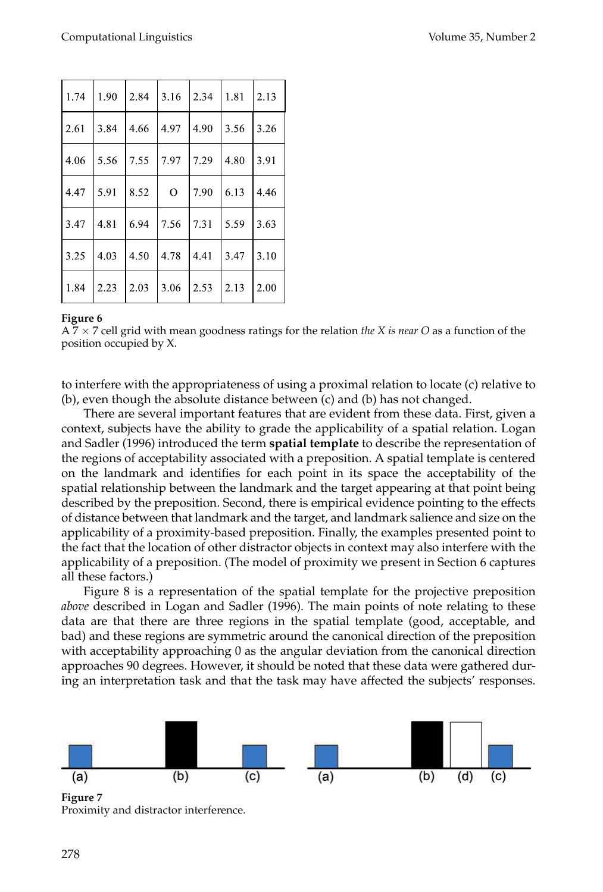| 1.74 | 1.90           | 2.84          | $3.16$ 2.34    |                   | 1.81    | 2.13 |
|------|----------------|---------------|----------------|-------------------|---------|------|
| 2.61 | 3.84           | 4.66          | 14.97          | $ 4.90 $ 3.56     |         | 3.26 |
| 4.06 | 5.56           | $7.55$   7.97 |                | 7.29              | 4.80    | 3.91 |
| 4.47 | 5.91           | 8.52          | $\overline{O}$ | 7.90              | 16.13   | 4.46 |
| 3.47 | 4.81           | 6.94          | 17.56          | 7.31              | 15.59   | 3.63 |
| 3.25 | 14.03          | 4.50          | 4.78           | 4.41              | $13.47$ | 3.10 |
| 1.84 | $ 2.23\rangle$ | 2.03          | 3.06           | $ 2.53 $ $ 2.13 $ |         | 2.00 |

A 7 × 7 cell grid with mean goodness ratings for the relation *the X is near O* as a function of the position occupied by X.

to interfere with the appropriateness of using a proximal relation to locate (c) relative to (b), even though the absolute distance between (c) and (b) has not changed.

There are several important features that are evident from these data. First, given a context, subjects have the ability to grade the applicability of a spatial relation. Logan and Sadler (1996) introduced the term **spatial template** to describe the representation of the regions of acceptability associated with a preposition. A spatial template is centered on the landmark and identifies for each point in its space the acceptability of the spatial relationship between the landmark and the target appearing at that point being described by the preposition. Second, there is empirical evidence pointing to the effects of distance between that landmark and the target, and landmark salience and size on the applicability of a proximity-based preposition. Finally, the examples presented point to the fact that the location of other distractor objects in context may also interfere with the applicability of a preposition. (The model of proximity we present in Section 6 captures all these factors.)

Figure 8 is a representation of the spatial template for the projective preposition *above* described in Logan and Sadler (1996). The main points of note relating to these data are that there are three regions in the spatial template (good, acceptable, and bad) and these regions are symmetric around the canonical direction of the preposition with acceptability approaching 0 as the angular deviation from the canonical direction approaches 90 degrees. However, it should be noted that these data were gathered during an interpretation task and that the task may have affected the subjects' responses.



**Figure 7** Proximity and distractor interference.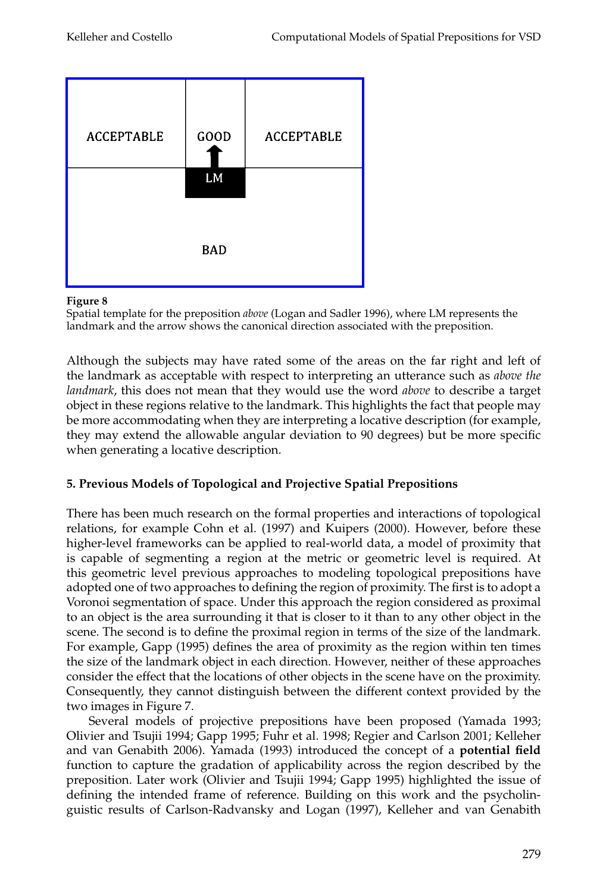

Spatial template for the preposition *above* (Logan and Sadler 1996), where LM represents the landmark and the arrow shows the canonical direction associated with the preposition.

Although the subjects may have rated some of the areas on the far right and left of the landmark as acceptable with respect to interpreting an utterance such as *above the landmark*, this does not mean that they would use the word *above* to describe a target object in these regions relative to the landmark. This highlights the fact that people may be more accommodating when they are interpreting a locative description (for example, they may extend the allowable angular deviation to 90 degrees) but be more specific when generating a locative description.

# **5. Previous Models of Topological and Projective Spatial Prepositions**

There has been much research on the formal properties and interactions of topological relations, for example Cohn et al. (1997) and Kuipers (2000). However, before these higher-level frameworks can be applied to real-world data, a model of proximity that is capable of segmenting a region at the metric or geometric level is required. At this geometric level previous approaches to modeling topological prepositions have adopted one of two approaches to defining the region of proximity. The first is to adopt a Voronoi segmentation of space. Under this approach the region considered as proximal to an object is the area surrounding it that is closer to it than to any other object in the scene. The second is to define the proximal region in terms of the size of the landmark. For example, Gapp (1995) defines the area of proximity as the region within ten times the size of the landmark object in each direction. However, neither of these approaches consider the effect that the locations of other objects in the scene have on the proximity. Consequently, they cannot distinguish between the different context provided by the two images in Figure 7.

Several models of projective prepositions have been proposed (Yamada 1993; Olivier and Tsujii 1994; Gapp 1995; Fuhr et al. 1998; Regier and Carlson 2001; Kelleher and van Genabith 2006). Yamada (1993) introduced the concept of a **potential field** function to capture the gradation of applicability across the region described by the preposition. Later work (Olivier and Tsujii 1994; Gapp 1995) highlighted the issue of defining the intended frame of reference. Building on this work and the psycholinguistic results of Carlson-Radvansky and Logan (1997), Kelleher and van Genabith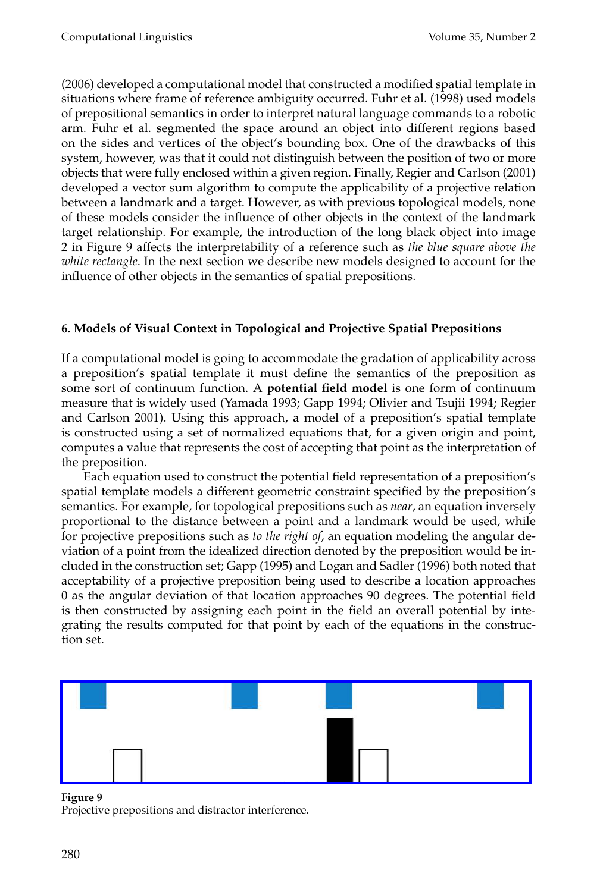(2006) developed a computational model that constructed a modified spatial template in situations where frame of reference ambiguity occurred. Fuhr et al. (1998) used models of prepositional semantics in order to interpret natural language commands to a robotic arm. Fuhr et al. segmented the space around an object into different regions based on the sides and vertices of the object's bounding box. One of the drawbacks of this system, however, was that it could not distinguish between the position of two or more objects that were fully enclosed within a given region. Finally, Regier and Carlson (2001) developed a vector sum algorithm to compute the applicability of a projective relation between a landmark and a target. However, as with previous topological models, none of these models consider the influence of other objects in the context of the landmark target relationship. For example, the introduction of the long black object into image 2 in Figure 9 affects the interpretability of a reference such as *the blue square above the white rectangle*. In the next section we describe new models designed to account for the influence of other objects in the semantics of spatial prepositions.

# **6. Models of Visual Context in Topological and Projective Spatial Prepositions**

If a computational model is going to accommodate the gradation of applicability across a preposition's spatial template it must define the semantics of the preposition as some sort of continuum function. A **potential field model** is one form of continuum measure that is widely used (Yamada 1993; Gapp 1994; Olivier and Tsujii 1994; Regier and Carlson 2001). Using this approach, a model of a preposition's spatial template is constructed using a set of normalized equations that, for a given origin and point, computes a value that represents the cost of accepting that point as the interpretation of the preposition.

Each equation used to construct the potential field representation of a preposition's spatial template models a different geometric constraint specified by the preposition's semantics. For example, for topological prepositions such as *near*, an equation inversely proportional to the distance between a point and a landmark would be used, while for projective prepositions such as *to the right of*, an equation modeling the angular deviation of a point from the idealized direction denoted by the preposition would be included in the construction set; Gapp (1995) and Logan and Sadler (1996) both noted that acceptability of a projective preposition being used to describe a location approaches 0 as the angular deviation of that location approaches 90 degrees. The potential field is then constructed by assigning each point in the field an overall potential by integrating the results computed for that point by each of the equations in the construction set.



**Figure 9** Projective prepositions and distractor interference.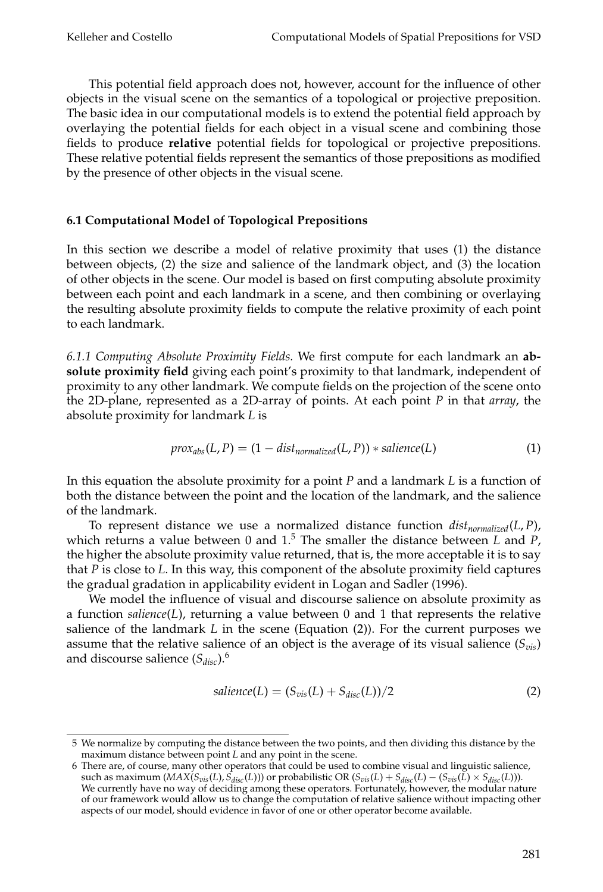This potential field approach does not, however, account for the influence of other objects in the visual scene on the semantics of a topological or projective preposition. The basic idea in our computational models is to extend the potential field approach by overlaying the potential fields for each object in a visual scene and combining those fields to produce **relative** potential fields for topological or projective prepositions. These relative potential fields represent the semantics of those prepositions as modified by the presence of other objects in the visual scene.

### **6.1 Computational Model of Topological Prepositions**

In this section we describe a model of relative proximity that uses (1) the distance between objects, (2) the size and salience of the landmark object, and (3) the location of other objects in the scene. Our model is based on first computing absolute proximity between each point and each landmark in a scene, and then combining or overlaying the resulting absolute proximity fields to compute the relative proximity of each point to each landmark.

*6.1.1 Computing Absolute Proximity Fields.* We first compute for each landmark an **absolute proximity field** giving each point's proximity to that landmark, independent of proximity to any other landmark. We compute fields on the projection of the scene onto the 2D-plane, represented as a 2D-array of points. At each point *P* in that *array*, the absolute proximity for landmark *L* is

$$
prox_{abs}(L, P) = (1 - dist_{normalized}(L, P)) * salience(L)
$$
\n(1)

In this equation the absolute proximity for a point *P* and a landmark *L* is a function of both the distance between the point and the location of the landmark, and the salience of the landmark.

To represent distance we use a normalized distance function  $dist_{normalized}(L, P)$ , which returns a value between 0 and 1.<sup>5</sup> The smaller the distance between *L* and *P*, the higher the absolute proximity value returned, that is, the more acceptable it is to say that *P* is close to *L*. In this way, this component of the absolute proximity field captures the gradual gradation in applicability evident in Logan and Sadler (1996).

We model the influence of visual and discourse salience on absolute proximity as a function *salience*(*L*), returning a value between 0 and 1 that represents the relative salience of the landmark *L* in the scene (Equation (2)). For the current purposes we assume that the relative salience of an object is the average of its visual salience  $(S_{vis})$ and discourse salience  $(S_{disc})$ .<sup>6</sup>

$$
salience(L) = (S_{vis}(L) + S_{disc}(L))/2
$$
\n(2)

<sup>5</sup> We normalize by computing the distance between the two points, and then dividing this distance by the maximum distance between point *L* and any point in the scene.

<sup>6</sup> There are, of course, many other operators that could be used to combine visual and linguistic salience, such as maximum  $(MAX(S_{vis}(L), S_{disc}(L)))$  or probabilistic OR  $(S_{vis}(L) + S_{disc}(L) - (S_{vis}(L) \times S_{disc}(L)))$ . We currently have no way of deciding among these operators. Fortunately, however, the modular nature of our framework wouldallow us to change the computation of relative salience without impacting other aspects of our model, should evidence in favor of one or other operator become available.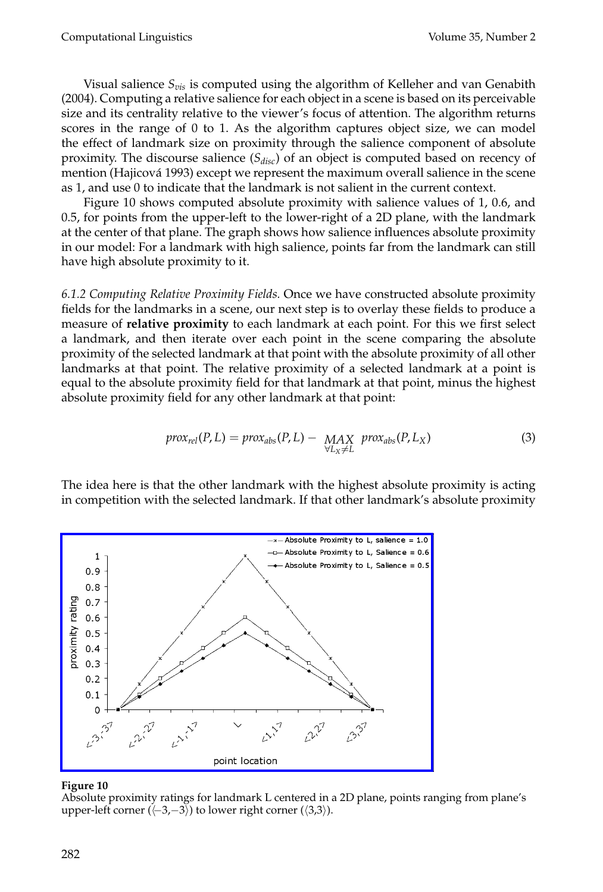Visual salience  $S_{vis}$  is computed using the algorithm of Kelleher and van Genabith (2004). Computing a relative salience for each object in a scene is basedon its perceivable size and its centrality relative to the viewer's focus of attention. The algorithm returns scores in the range of 0 to 1. As the algorithm captures object size, we can model the effect of landmark size on proximity through the salience component of absolute proximity. The discourse salience  $(S_{disc})$  of an object is computed based on recency of mention (Hajicová 1993) except we represent the maximum overall salience in the scene as 1, and use 0 to indicate that the landmark is not salient in the current context.

Figure 10 shows computed absolute proximity with salience values of 1, 0.6, and 0.5, for points from the upper-left to the lower-right of a 2D plane, with the landmark at the center of that plane. The graph shows how salience influences absolute proximity in our model: For a landmark with high salience, points far from the landmark can still have high absolute proximity to it.

*6.1.2 Computing Relative Proximity Fields.* Once we have constructedabsolute proximity fields for the landmarks in a scene, our next step is to overlay these fields to produce a measure of **relative proximity** to each landmark at each point. For this we first select a landmark, and then iterate over each point in the scene comparing the absolute proximity of the selectedlandmark at that point with the absolute proximity of all other landmarks at that point. The relative proximity of a selected landmark at a point is equal to the absolute proximity field for that landmark at that point, minus the highest absolute proximity field for any other landmark at that point:

$$
prox_{rel}(P, L) = prox_{abs}(P, L) - \underset{\forall L_X \neq L}{MAX} prox_{abs}(P, L_X)
$$
\n(3)

The idea here is that the other landmark with the highest absolute proximity is acting in competition with the selected landmark. If that other landmark's absolute proximity



### **Figure 10**

Absolute proximity ratings for landmark L centered in a 2D plane, points ranging from plane's upper-left corner ( $\langle -3, -3 \rangle$ ) to lower right corner ( $\langle 3,3 \rangle$ ).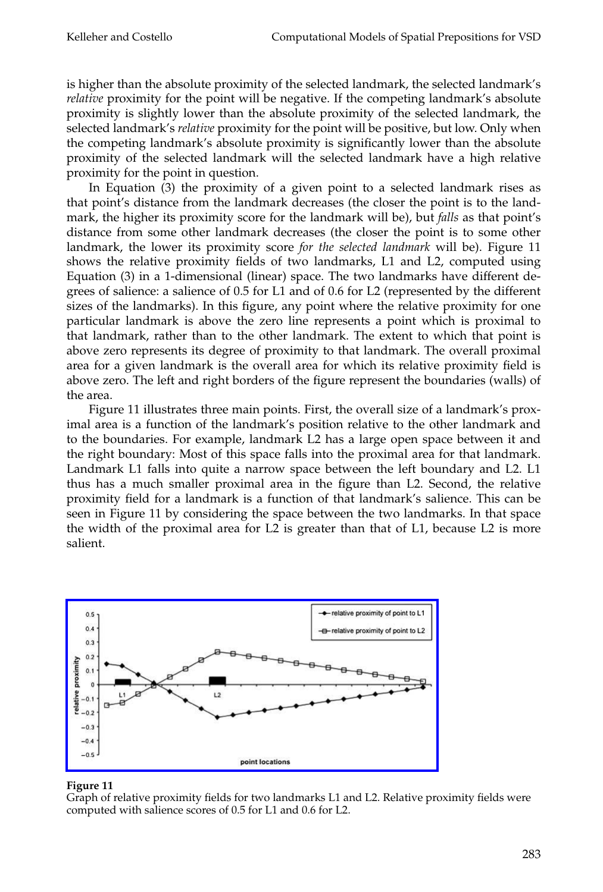is higher than the absolute proximity of the selected landmark, the selected landmark's *relative* proximity for the point will be negative. If the competing landmark's absolute proximity is slightly lower than the absolute proximity of the selected landmark, the selectedlandmark's *relative* proximity for the point will be positive, but low. Only when the competing landmark's absolute proximity is significantly lower than the absolute proximity of the selected landmark will the selected landmark have a high relative proximity for the point in question.

In Equation  $(3)$  the proximity of a given point to a selected landmark rises as that point's distance from the landmark decreases (the closer the point is to the landmark, the higher its proximity score for the landmark will be), but *falls* as that point's distance from some other landmark decreases (the closer the point is to some other landmark, the lower its proximity score *for the selected landmark* will be). Figure 11 shows the relative proximity fields of two landmarks, L1 and L2, computed using Equation (3) in a 1-dimensional (linear) space. The two landmarks have different degrees of salience: a salience of 0.5 for L1 and of 0.6 for L2 (represented by the different sizes of the landmarks). In this figure, any point where the relative proximity for one particular landmark is above the zero line represents a point which is proximal to that landmark, rather than to the other landmark. The extent to which that point is above zero represents its degree of proximity to that landmark. The overall proximal area for a given landmark is the overall area for which its relative proximity field is above zero. The left and right borders of the figure represent the boundaries (walls) of the area.

Figure 11 illustrates three main points. First, the overall size of a landmark's proximal area is a function of the landmark's position relative to the other landmark and to the boundaries. For example, landmark L2 has a large open space between it and the right boundary: Most of this space falls into the proximal area for that landmark. Landmark L1 falls into quite a narrow space between the left boundary and L2. L1 thus has a much smaller proximal area in the figure than L2. Second, the relative proximity field for a landmark is a function of that landmark's salience. This can be seen in Figure 11 by considering the space between the two landmarks. In that space the width of the proximal area for L2 is greater than that of L1, because L2 is more salient.



### **Figure 11**

Graph of relative proximity fields for two landmarks L1 and L2. Relative proximity fields were computed with salience scores of 0.5 for L1 and 0.6 for L2.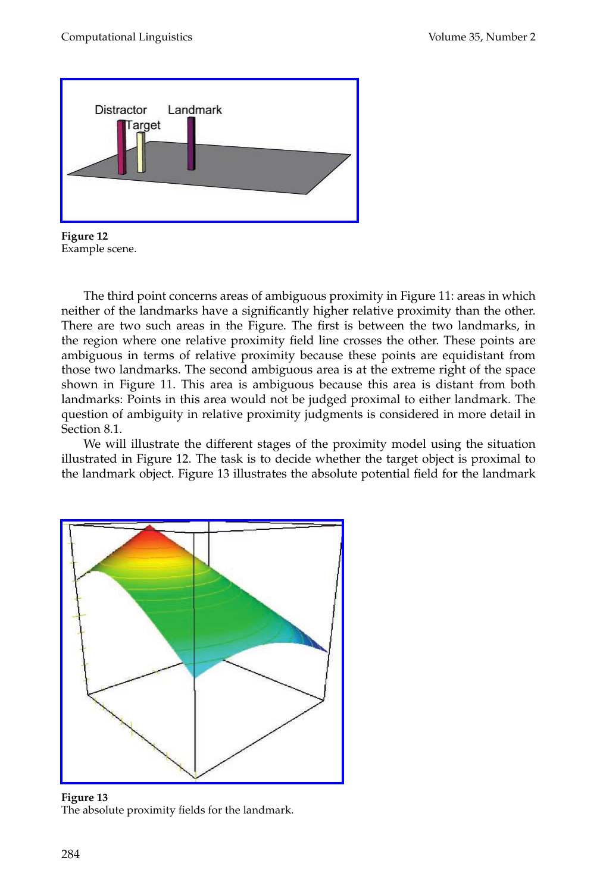

**Figure 12** Example scene.

The third point concerns areas of ambiguous proximity in Figure 11: areas in which neither of the landmarks have a significantly higher relative proximity than the other. There are two such areas in the Figure. The first is between the two landmarks, in the region where one relative proximity field line crosses the other. These points are ambiguous in terms of relative proximity because these points are equidistant from those two landmarks. The second ambiguous area is at the extreme right of the space shown in Figure 11. This area is ambiguous because this area is distant from both landmarks: Points in this area would not be judged proximal to either landmark. The question of ambiguity in relative proximity judgments is considered in more detail in Section 8.1.

We will illustrate the different stages of the proximity model using the situation illustrated in Figure 12. The task is to decide whether the target object is proximal to the landmark object. Figure 13 illustrates the absolute potential field for the landmark



**Figure 13** The absolute proximity fields for the landmark.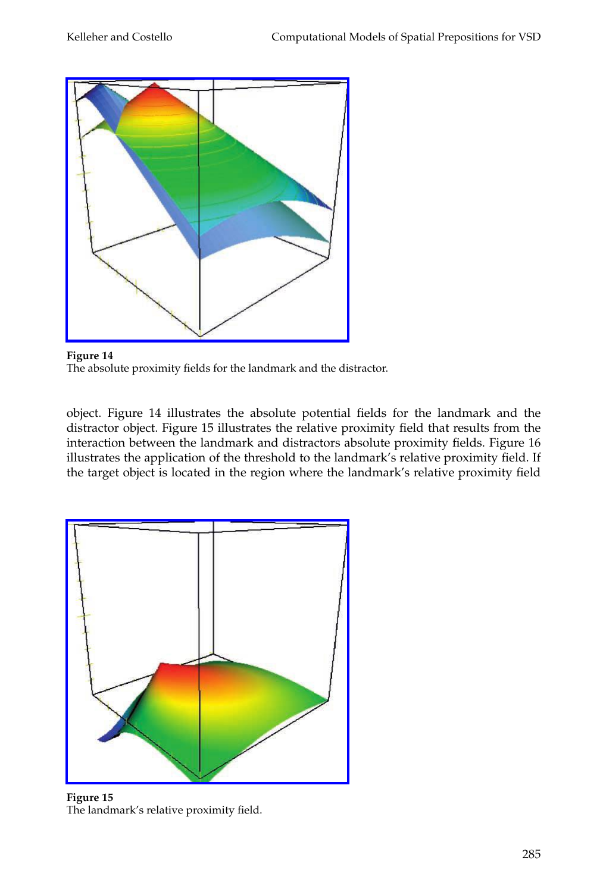

**Figure 14** The absolute proximity fields for the landmark and the distractor.

object. Figure 14 illustrates the absolute potential fields for the landmark and the distractor object. Figure 15 illustrates the relative proximity field that results from the interaction between the landmark and distractors absolute proximity fields. Figure 16 illustrates the application of the threshold to the landmark's relative proximity field. If the target object is located in the region where the landmark's relative proximity field



**Figure 15** The landmark's relative proximity field.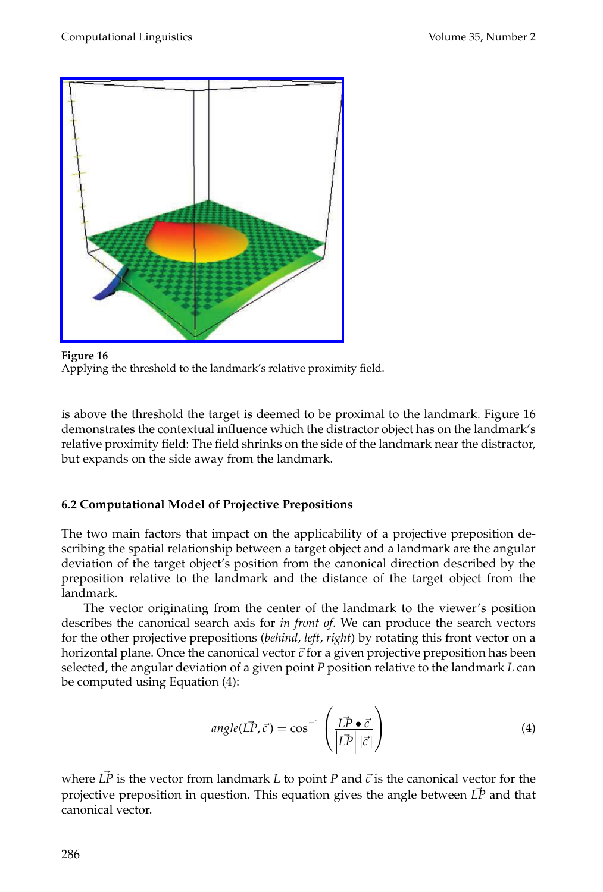

**Figure 16** Applying the threshold to the landmark's relative proximity field.

is above the threshold the target is deemed to be proximal to the landmark. Figure 16 demonstrates the contextual influence which the distractor object has on the landmark's relative proximity field: The field shrinks on the side of the landmark near the distractor, but expands on the side away from the landmark.

# **6.2Computational Model of Projective Prepositions**

The two main factors that impact on the applicability of a projective preposition describing the spatial relationship between a target object and a landmark are the angular deviation of the target object's position from the canonical direction described by the preposition relative to the landmark and the distance of the target object from the landmark.

The vector originating from the center of the landmark to the viewer's position describes the canonical search axis for *in front of*. We can produce the search vectors for the other projective prepositions (*behind*, *left*, *right*) by rotating this front vector on a horizontal plane. Once the canonical vector *c* for a given projective preposition has been selected, the angular deviation of a given point *P* position relative to the landmark *L* can be computed using Equation (4):

$$
angle(\vec{LP}, \vec{c}) = \cos^{-1}\left(\frac{\vec{LP} \cdot \vec{c}}{|\vec{LP}| |\vec{c}|}\right)
$$
(4)

where  $\vec{LP}$  is the vector from landmark *L* to point *P* and  $\vec{c}$  is the canonical vector for the projective preposition in question. This equation gives the angle between  $\vec{LP}$  and that canonical vector.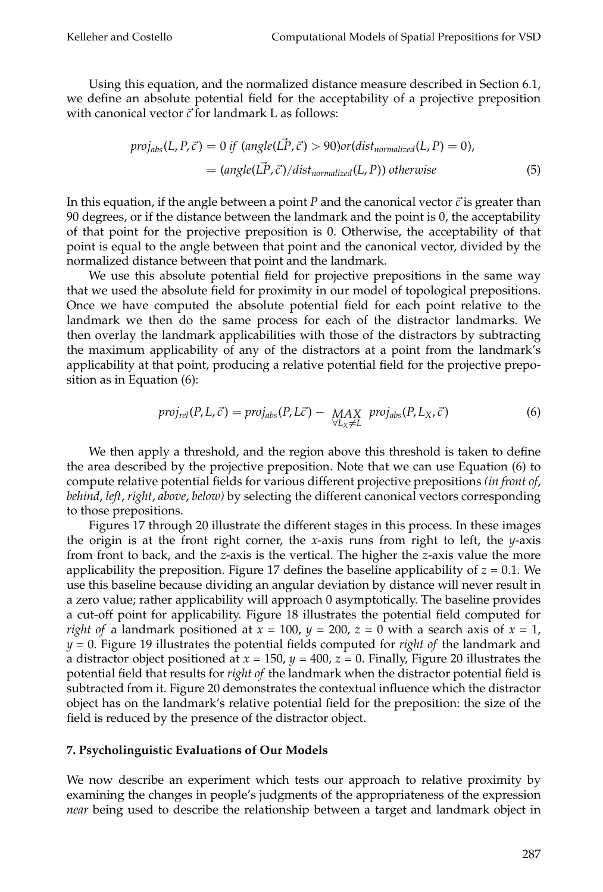Using this equation, and the normalized distance measure described in Section 6.1, we define an absolute potential field for the acceptability of a projective preposition with canonical vector  $\vec{c}$  for land mark L as follows:

$$
proj_{abs}(L, P, \vec{c}) = 0 \text{ if } (angle(\vec{LP}, \vec{c}) > 90) \text{ or } (dist_{normalized}(L, P) = 0),
$$
  
= 
$$
(angle(\vec{LP}, \vec{c}) / dist_{normalized}(L, P)) \text{ otherwise}
$$
 (5)

In this equation, if the angle between a point *P* and the canonical vector  $\vec{c}$  is greater than 90 degrees, or if the distance between the landmark and the point is 0, the acceptability of that point for the projective preposition is 0. Otherwise, the acceptability of that point is equal to the angle between that point and the canonical vector, divided by the normalized distance between that point and the landmark.

We use this absolute potential field for projective prepositions in the same way that we used the absolute field for proximity in our model of topological prepositions. Once we have computed the absolute potential field for each point relative to the landmark we then do the same process for each of the distractor landmarks. We then overlay the landmark applicabilities with those of the distractors by subtracting the maximum applicability of any of the distractors at a point from the landmark's applicability at that point, producing a relative potential field for the projective preposition as in Equation (6):

$$
proj_{rel}(P, L, \vec{c}) = proj_{abs}(P, L\vec{c}) - \underset{\forall L_X \neq L}{MAX} proj_{abs}(P, L_X, \vec{c})
$$
(6)

We then apply a threshold, and the region above this threshold is taken to define the area described by the projective preposition. Note that we can use Equation (6) to compute relative potential fields for various different projective prepositions *(in front of*, *behind*, *left*, *right*, *above*, *below)* by selecting the different canonical vectors corresponding to those prepositions.

Figures 17 through 20 illustrate the different stages in this process. In these images the origin is at the front right corner, the *x*-axis runs from right to left, the *y*-axis from front to back, and the *z*-axis is the vertical. The higher the *z*-axis value the more applicability the preposition. Figure 17 defines the baseline applicability of  $z = 0.1$ . We use this baseline because dividing an angular deviation by distance will never result in a zero value; rather applicability will approach 0 asymptotically. The baseline provides a cut-off point for applicability. Figure 18 illustrates the potential field computed for *right of* a landmark positioned at  $x = 100$ ,  $y = 200$ ,  $z = 0$  with a search axis of  $x = 1$ , *y* = 0. Figure 19 illustrates the potential fields computed for *right of* the landmark and a distractor object positioned at *x* = 150, *y* = 400, *z* = 0. Finally, Figure 20 illustrates the potential field that results for *right of* the landmark when the distractor potential field is subtracted from it. Figure 20 demonstrates the contextual influence which the distractor object has on the landmark's relative potential field for the preposition: the size of the field is reduced by the presence of the distractor object.

### **7. Psycholinguistic Evaluations of Our Models**

We now describe an experiment which tests our approach to relative proximity by examining the changes in people's judgments of the appropriateness of the expression *near* being used to describe the relationship between a target and landmark object in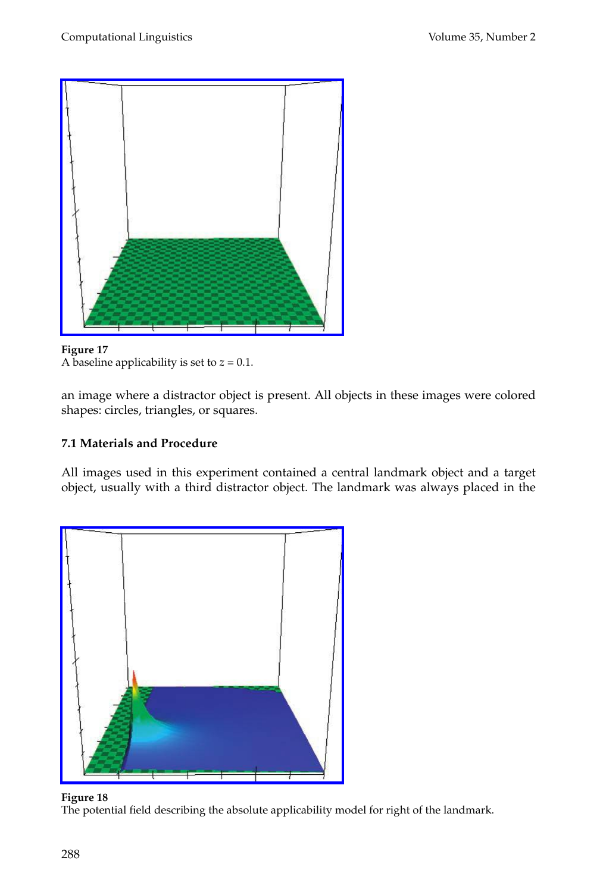

**Figure 17** A baseline applicability is set to  $z = 0.1$ .

an image where a distractor object is present. All objects in these images were colored shapes: circles, triangles, or squares.

# **7.1 Materials and Procedure**

All images used in this experiment contained a central landmark object and a target object, usually with a third distractor object. The landmark was always placed in the



#### **Figure 18** The potential field describing the absolute applicability model for right of the landmark.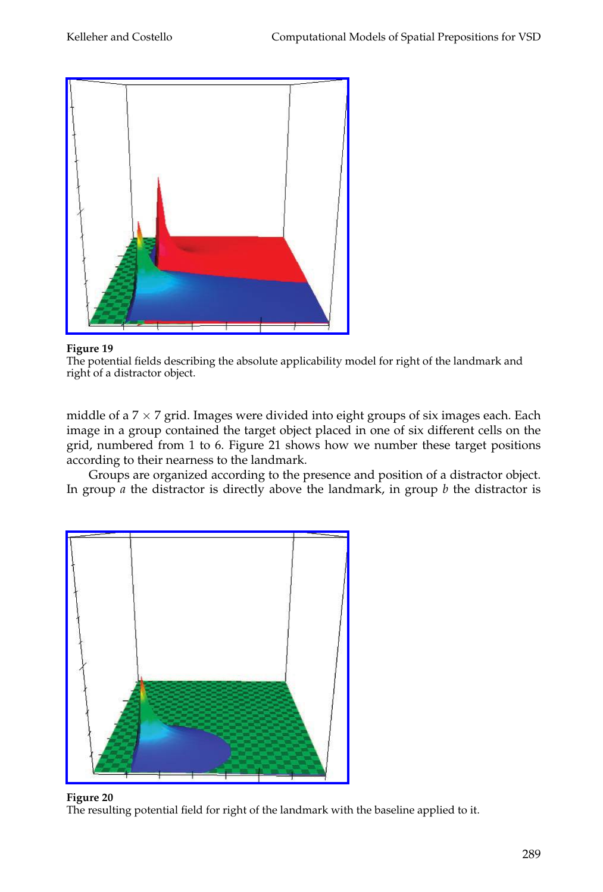

The potential fields describing the absolute applicability model for right of the landmark and right of a distractor object.

middle of a  $7 \times 7$  grid. Images were divided into eight groups of six images each. Each image in a group contained the target object placed in one of six different cells on the grid, numbered from 1 to 6. Figure 21 shows how we number these target positions according to their nearness to the landmark.

Groups are organized according to the presence and position of a distractor object. In group *a* the distractor is directly above the landmark, in group *b* the distractor is



### **Figure 20**

The resulting potential field for right of the landmark with the baseline applied to it.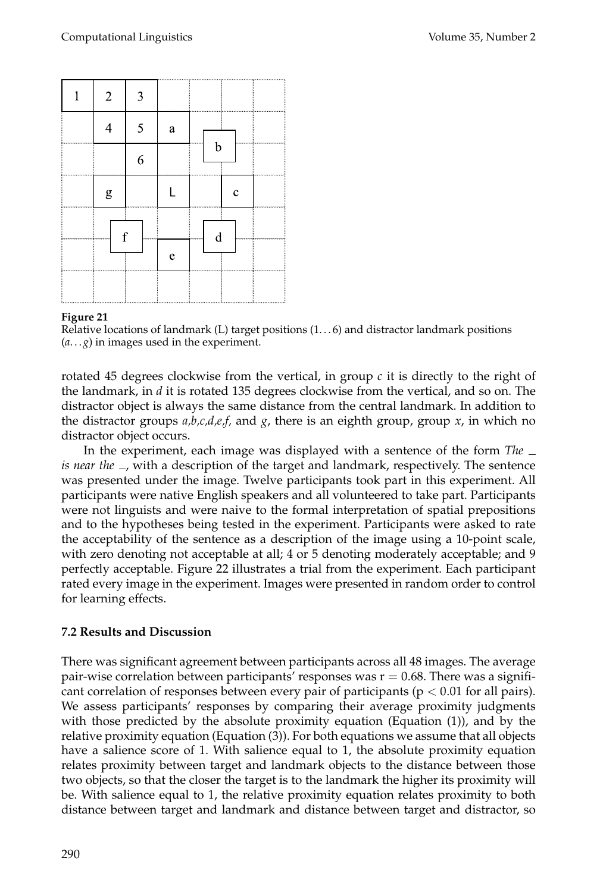| 1 | $\overline{2}$                                                                                                                                                                                                                                                                                                                                                                                                                 | 3 |              |             |
|---|--------------------------------------------------------------------------------------------------------------------------------------------------------------------------------------------------------------------------------------------------------------------------------------------------------------------------------------------------------------------------------------------------------------------------------|---|--------------|-------------|
|   | $\overline{4}$                                                                                                                                                                                                                                                                                                                                                                                                                 | 5 | $\rm{a}$     |             |
|   |                                                                                                                                                                                                                                                                                                                                                                                                                                | 6 |              | b           |
|   | $\mathbf{g}% _{T}=\mathbf{g}_{T}=\mathbf{g}_{T}=\mathbf{g}_{T}=\mathbf{g}_{T}=\mathbf{g}_{T}=\mathbf{g}_{T}=\mathbf{g}_{T}=\mathbf{g}_{T}=\mathbf{g}_{T}=\mathbf{g}_{T}=\mathbf{g}_{T}=\mathbf{g}_{T}=\mathbf{g}_{T}=\mathbf{g}_{T}=\mathbf{g}_{T}=\mathbf{g}_{T}=\mathbf{g}_{T}=\mathbf{g}_{T}=\mathbf{g}_{T}=\mathbf{g}_{T}=\mathbf{g}_{T}=\mathbf{g}_{T}=\mathbf{g}_{T}=\mathbf{g}_{T}=\mathbf{g}_{T}=\mathbf{g}_{T}=\math$ |   |              | $\mathbf c$ |
|   | f                                                                                                                                                                                                                                                                                                                                                                                                                              |   |              | $\mathbf d$ |
|   |                                                                                                                                                                                                                                                                                                                                                                                                                                |   | $\mathbf{e}$ |             |
|   |                                                                                                                                                                                                                                                                                                                                                                                                                                |   |              |             |

Relative locations of landmark (L) target positions  $(1...6)$  and distractor landmark positions  $(a... g)$  in images used in the experiment.

rotated 45 degrees clockwise from the vertical, in group  $c$  it is directly to the right of the landmark, in *d* it is rotated 135 degrees clockwise from the vertical, and so on. The distractor object is always the same distance from the central landmark. In addition to the distractor groups *a,b,c,d,e,f,* and *g*, there is an eighth group, group *x*, in which no distractor object occurs.

In the experiment, each image was displayed with a sentence of the form *The is near the* <sub>-</sub>, with a description of the target and landmark, respectively. The sentence was presented under the image. Twelve participants took part in this experiment. All participants were native English speakers and all volunteered to take part. Participants were not linguists andwere naive to the formal interpretation of spatial prepositions and to the hypotheses being tested in the experiment. Participants were asked to rate the acceptability of the sentence as a description of the image using a 10-point scale, with zero denoting not acceptable at all; 4 or 5 denoting moderately acceptable; and 9 perfectly acceptable. Figure 22 illustrates a trial from the experiment. Each participant rated every image in the experiment. Images were presented in random order to control for learning effects.

### **7.2Results and Discussion**

There was significant agreement between participants across all 48 images. The average pair-wise correlation between participants' responses was  $r = 0.68$ . There was a significant correlation of responses between every pair of participants ( $p < 0.01$  for all pairs). We assess participants' responses by comparing their average proximity judgments with those predicted by the absolute proximity equation (Equation (1)), and by the relative proximity equation (Equation (3)). For both equations we assume that all objects have a salience score of 1. With salience equal to 1, the absolute proximity equation relates proximity between target and landmark objects to the distance between those two objects, so that the closer the target is to the landmark the higher its proximity will be. With salience equal to 1, the relative proximity equation relates proximity to both distance between target and landmark and distance between target and distractor, so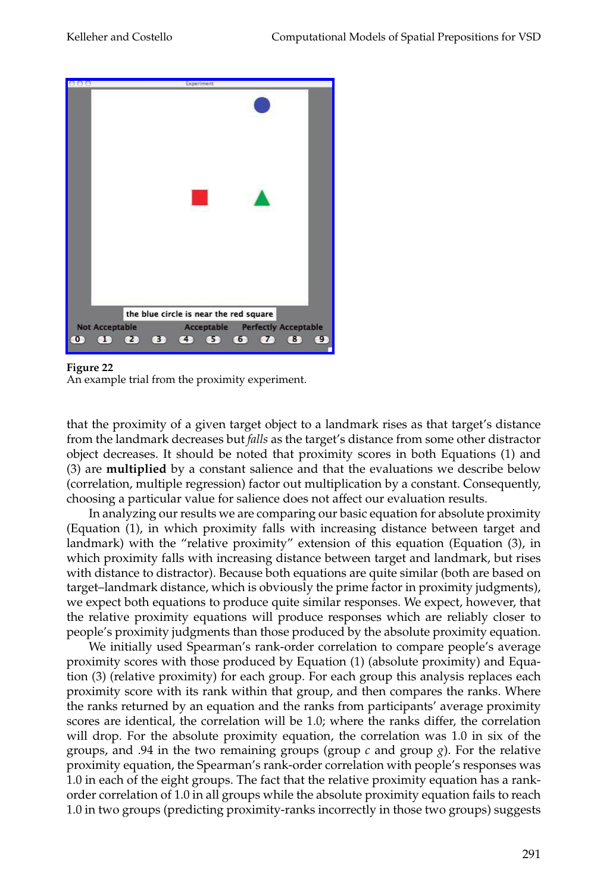

An example trial from the proximity experiment.

that the proximity of a given target object to a landmark rises as that target's distance from the landmark decreases but *falls* as the target's distance from some other distractor object decreases. It should be noted that proximity scores in both Equations (1) and (3) are **multiplied** by a constant salience and that the evaluations we describe below (correlation, multiple regression) factor out multiplication by a constant. Consequently, choosing a particular value for salience does not affect our evaluation results.

In analyzing our results we are comparing our basic equation for absolute proximity (Equation (1), in which proximity falls with increasing distance between target and landmark) with the "relative proximity" extension of this equation (Equation (3), in which proximity falls with increasing distance between target and landmark, but rises with distance to distractor). Because both equations are quite similar (both are based on target–landmark distance, which is obviously the prime factor in proximity judgments), we expect both equations to produce quite similar responses. We expect, however, that the relative proximity equations will produce responses which are reliably closer to people's proximity judgments than those produced by the absolute proximity equation.

We initially used Spearman's rank-order correlation to compare people's average proximity scores with those produced by Equation (1) (absolute proximity) and Equation (3) (relative proximity) for each group. For each group this analysis replaces each proximity score with its rank within that group, and then compares the ranks. Where the ranks returned by an equation and the ranks from participants' average proximity scores are identical, the correlation will be 1.0; where the ranks differ, the correlation will drop. For the absolute proximity equation, the correlation was 1.0 in six of the groups, and .94 in the two remaining groups (group  $c$  and group  $g$ ). For the relative proximity equation, the Spearman's rank-order correlation with people's responses was 1.0 in each of the eight groups. The fact that the relative proximity equation has a rankorder correlation of 1.0 in all groups while the absolute proximity equation fails to reach 1.0 in two groups (predicting proximity-ranks incorrectly in those two groups) suggests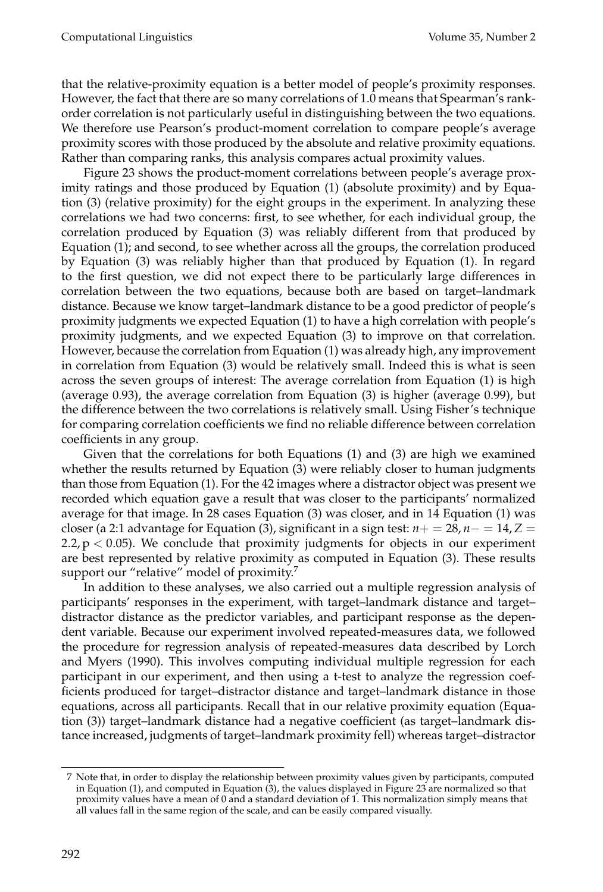that the relative-proximity equation is a better model of people's proximity responses. However, the fact that there are so many correlations of 1.0 means that Spearman's rankorder correlation is not particularly useful in distinguishing between the two equations. We therefore use Pearson's product-moment correlation to compare people's average proximity scores with those produced by the absolute and relative proximity equations. Rather than comparing ranks, this analysis compares actual proximity values.

Figure 23 shows the product-moment correlations between people's average proximity ratings and those produced by Equation (1) (absolute proximity) and by Equation (3) (relative proximity) for the eight groups in the experiment. In analyzing these correlations we had two concerns: first, to see whether, for each individual group, the correlation produced by Equation (3) was reliably different from that produced by Equation (1); and second, to see whether across all the groups, the correlation produced by Equation (3) was reliably higher than that produced by Equation (1). In regard to the first question, we did not expect there to be particularly large differences in correlation between the two equations, because both are based on target–landmark distance. Because we know target–landmark distance to be a good predictor of people's proximity judgments we expected Equation (1) to have a high correlation with people's proximity judgments, and we expected Equation (3) to improve on that correlation. However, because the correlation from Equation (1) was already high, any improvement in correlation from Equation  $(3)$  would be relatively small. Indeed this is what is seen across the seven groups of interest: The average correlation from Equation (1) is high (average 0.93), the average correlation from Equation (3) is higher (average 0.99), but the difference between the two correlations is relatively small. Using Fisher's technique for comparing correlation coefficients we find no reliable difference between correlation coefficients in any group.

Given that the correlations for both Equations (1) and (3) are high we examined whether the results returned by Equation (3) were reliably closer to human judgments than those from Equation (1). For the 42 images where a distractor object was present we recorded which equation gave a result that was closer to the participants' normalized average for that image. In 28 cases Equation (3) was closer, andin 14 Equation (1) was closer (a 2:1 advantage for Equation (3), significant in a sign test:  $n+ = 28$ ,  $n- = 14$ ,  $Z =$ 2.2,  $p < 0.05$ ). We conclude that proximity judgments for objects in our experiment are best represented by relative proximity as computed in Equation (3). These results support our "relative" model of proximity.<sup>7</sup>

In addition to these analyses, we also carried out a multiple regression analysis of participants' responses in the experiment, with target–landmark distance and target– distractor distance as the predictor variables, and participant response as the dependent variable. Because our experiment involved repeated-measures data, we followed the procedure for regression analysis of repeated-measures data described by Lorch and Myers (1990). This involves computing individual multiple regression for each participant in our experiment, and then using a t-test to analyze the regression coefficients produced for target–distractor distance and target–landmark distance in those equations, across all participants. Recall that in our relative proximity equation (Equation (3)) target–landmark distance had a negative coefficient (as target–landmark distance increased, judgments of target–landmark proximity fell) whereas target–distractor

<sup>7</sup> Note that, in order to display the relationship between proximity values given by participants, computed in Equation (1), and computed in Equation (3), the values displayed in Figure 23 are normalized so that proximity values have a mean of 0 and a standard deviation of 1. This normalization simply means that all values fall in the same region of the scale, and can be easily compared visually.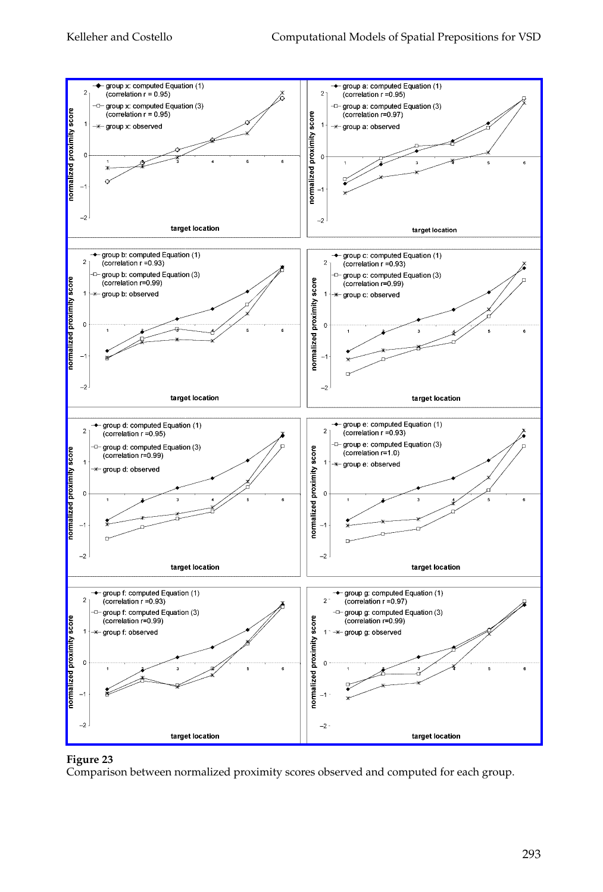

Comparison between normalized proximity scores observed and computed for each group.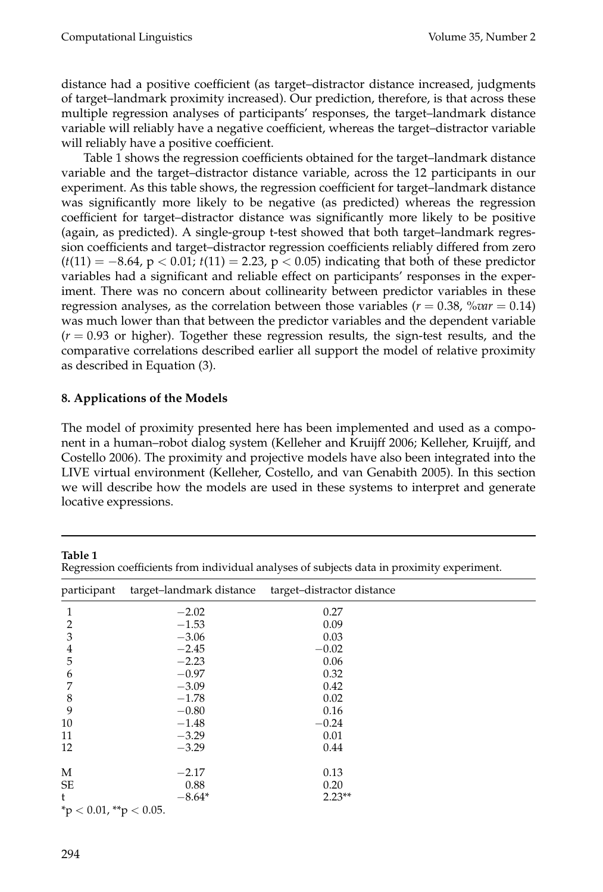distance had a positive coefficient (as target–distractor distance increased, judgments of target–landmark proximity increased). Our prediction, therefore, is that across these multiple regression analyses of participants' responses, the target–landmark distance variable will reliably have a negative coefficient, whereas the target–distractor variable will reliably have a positive coefficient.

Table 1 shows the regression coefficients obtained for the target–landmark distance variable and the target–distractor distance variable, across the 12 participants in our experiment. As this table shows, the regression coefficient for target–landmark distance was significantly more likely to be negative (as predicted) whereas the regression coefficient for target–distractor distance was significantly more likely to be positive (again, as predicted). A single-group t-test showed that both target–landmark regression coefficients and target–distractor regression coefficients reliably differed from zero (*t*(11) = −8.64, p < 0.01; *t*(11) = 2.23, p < 0.05) indicating that both of these predictor variables had a significant and reliable effect on participants' responses in the experiment. There was no concern about collinearity between predictor variables in these regression analyses, as the correlation between those variables ( $r = 0.38$ ,  $\% var = 0.14$ ) was much lower than that between the predictor variables and the dependent variable  $(r = 0.93$  or higher). Together these regression results, the sign-test results, and the comparative correlations described earlier all support the model of relative proximity as described in Equation (3).

# **8. Applications of the Models**

The model of proximity presented here has been implemented and used as a component in a human–robot dialog system (Kelleher and Kruijff 2006; Kelleher, Kruijff, and Costello 2006). The proximity and projective models have also been integrated into the LIVE virtual environment (Kelleher, Costello, and van Genabith 2005). In this section we will describe how the models are used in these systems to interpret and generate locative expressions.

| Table 1<br>Regression coefficients from individual analyses of subjects data in proximity experiment. |                          |                            |  |  |  |  |
|-------------------------------------------------------------------------------------------------------|--------------------------|----------------------------|--|--|--|--|
| participant                                                                                           | target-landmark distance | target-distractor distance |  |  |  |  |
| 1                                                                                                     | $-2.02$                  | 0.27                       |  |  |  |  |
| $\overline{2}$                                                                                        | $-1.53$                  | 0.09                       |  |  |  |  |
| 3                                                                                                     | $-3.06$                  | 0.03                       |  |  |  |  |
| 4                                                                                                     | $-2.45$                  | $-0.02$                    |  |  |  |  |
| 5                                                                                                     | $-2.23$                  | 0.06                       |  |  |  |  |
| 6                                                                                                     | $-0.97$                  | 0.32                       |  |  |  |  |
| 7                                                                                                     | $-3.09$                  | 0.42                       |  |  |  |  |
| 8                                                                                                     | $-1.78$                  | 0.02                       |  |  |  |  |
| 9                                                                                                     | $-0.80$                  | 0.16                       |  |  |  |  |
| 10                                                                                                    | $-1.48$                  | $-0.24$                    |  |  |  |  |
| 11                                                                                                    | $-3.29$                  | 0.01                       |  |  |  |  |
| 12                                                                                                    | $-3.29$                  | 0.44                       |  |  |  |  |
| M                                                                                                     | $-2.17$                  | 0.13                       |  |  |  |  |
| SE                                                                                                    | 0.88                     | 0.20                       |  |  |  |  |
| t                                                                                                     | $-8.64*$                 | $2.23**$                   |  |  |  |  |
| *p < 0.01, **p < 0.05.                                                                                |                          |                            |  |  |  |  |

**Table 1**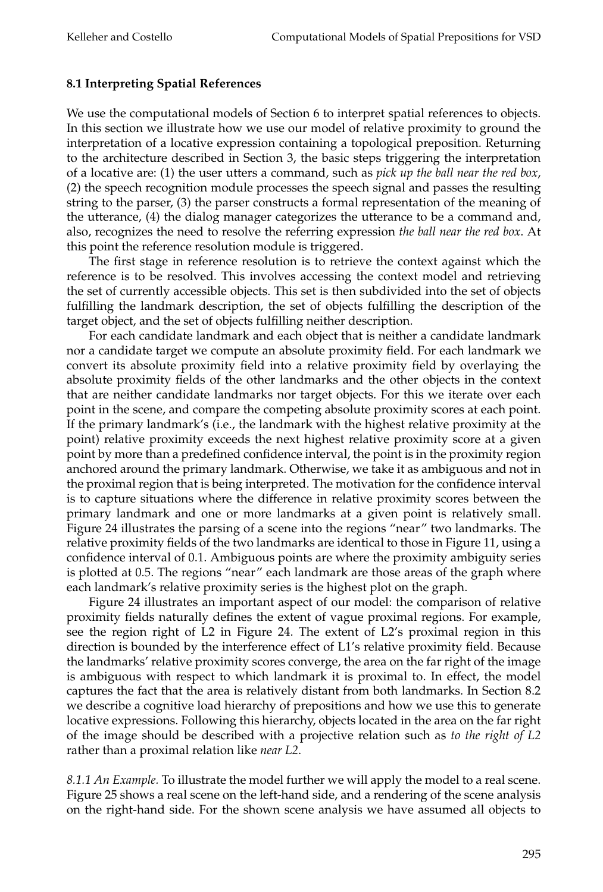# **8.1 Interpreting Spatial References**

We use the computational models of Section 6 to interpret spatial references to objects. In this section we illustrate how we use our model of relative proximity to ground the interpretation of a locative expression containing a topological preposition. Returning to the architecture described in Section 3, the basic steps triggering the interpretation of a locative are: (1) the user utters a command, such as *pick up the ball near the red box*, (2) the speech recognition module processes the speech signal and passes the resulting string to the parser, (3) the parser constructs a formal representation of the meaning of the utterance, (4) the dialog manager categorizes the utterance to be a command and, also, recognizes the need to resolve the referring expression *the ball near the red box*. At this point the reference resolution module is triggered.

The first stage in reference resolution is to retrieve the context against which the reference is to be resolved. This involves accessing the context model and retrieving the set of currently accessible objects. This set is then subdivided into the set of objects fulfilling the landmark description, the set of objects fulfilling the description of the target object, and the set of objects fulfilling neither description.

For each candidate landmark and each object that is neither a candidate landmark nor a candidate target we compute an absolute proximity field. For each landmark we convert its absolute proximity field into a relative proximity field by overlaying the absolute proximity fields of the other landmarks and the other objects in the context that are neither candidate landmarks nor target objects. For this we iterate over each point in the scene, and compare the competing absolute proximity scores at each point. If the primary landmark's (i.e., the landmark with the highest relative proximity at the point) relative proximity exceeds the next highest relative proximity score at a given point by more than a predefined confidence interval, the point is in the proximity region anchored around the primary landmark. Otherwise, we take it as ambiguous and not in the proximal region that is being interpreted. The motivation for the confidence interval is to capture situations where the difference in relative proximity scores between the primary landmark and one or more landmarks at a given point is relatively small. Figure 24 illustrates the parsing of a scene into the regions "near" two landmarks. The relative proximity fields of the two landmarks are identical to those in Figure 11, using a confidence interval of 0.1. Ambiguous points are where the proximity ambiguity series is plotted at 0.5. The regions "near" each landmark are those areas of the graph where each landmark's relative proximity series is the highest plot on the graph.

Figure 24 illustrates an important aspect of our model: the comparison of relative proximity fields naturally defines the extent of vague proximal regions. For example, see the region right of L2 in Figure 24. The extent of L2's proximal region in this direction is bounded by the interference effect of L1's relative proximity field. Because the landmarks' relative proximity scores converge, the area on the far right of the image is ambiguous with respect to which landmark it is proximal to. In effect, the model captures the fact that the area is relatively distant from both landmarks. In Section 8.2 we describe a cognitive load hierarchy of prepositions and how we use this to generate locative expressions. Following this hierarchy, objects locatedin the area on the far right of the image should be described with a projective relation such as *to the right of L2* rather than a proximal relation like *near L2*.

*8.1.1 An Example.* To illustrate the model further we will apply the model to a real scene. Figure 25 shows a real scene on the left-hand side, and a rendering of the scene analysis on the right-hand side. For the shown scene analysis we have assumed all objects to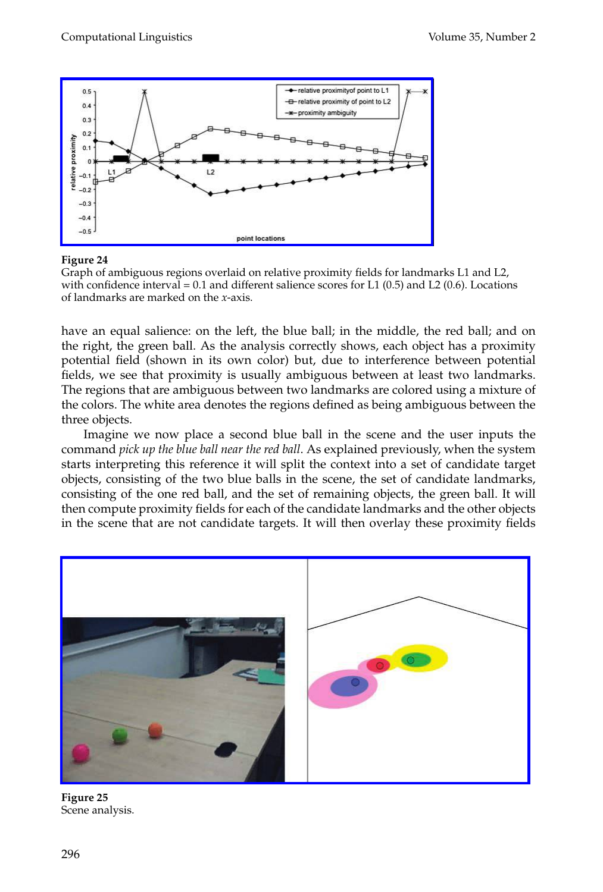

Graph of ambiguous regions overlaid on relative proximity fields for landmarks L1 and L2, with confidence interval =  $0.1$  and different salience scores for L1 (0.5) and L2 (0.6). Locations of landmarks are marked on the *x*-axis.

have an equal salience: on the left, the blue ball; in the middle, the red ball; and on the right, the green ball. As the analysis correctly shows, each object has a proximity potential field(shown in its own color) but, due to interference between potential fields, we see that proximity is usually ambiguous between at least two landmarks. The regions that are ambiguous between two landmarks are colored using a mixture of the colors. The white area denotes the regions defined as being ambiguous between the three objects.

Imagine we now place a second blue ball in the scene and the user inputs the command *pick up the blue ball near the red ball*. As explained previously, when the system starts interpreting this reference it will split the context into a set of candidate target objects, consisting of the two blue balls in the scene, the set of candidate landmarks, consisting of the one red ball, and the set of remaining objects, the green ball. It will then compute proximity fields for each of the candidate landmarks and the other objects in the scene that are not candidate targets. It will then overlay these proximity fields



**Figure 25** Scene analysis.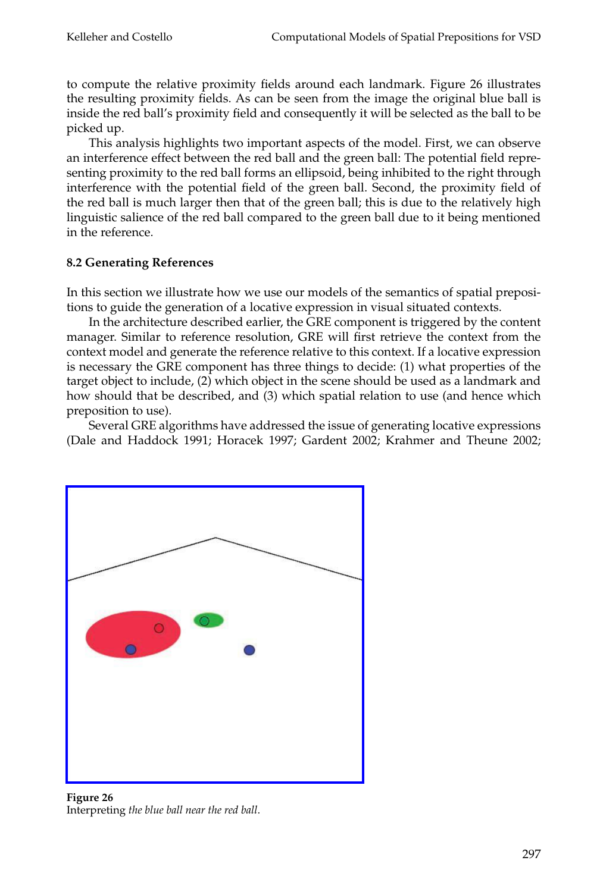to compute the relative proximity fields around each landmark. Figure 26 illustrates the resulting proximity fields. As can be seen from the image the original blue ball is inside the red ball's proximity field and consequently it will be selected as the ball to be picked up.

This analysis highlights two important aspects of the model. First, we can observe an interference effect between the red ball and the green ball: The potential field representing proximity to the red ball forms an ellipsoid, being inhibited to the right through interference with the potential field of the green ball. Second, the proximity field of the redball is much larger then that of the green ball; this is due to the relatively high linguistic salience of the red ball compared to the green ball due to it being mentioned in the reference.

# **8.2Generating References**

In this section we illustrate how we use our models of the semantics of spatial prepositions to guide the generation of a locative expression in visual situated contexts.

In the architecture described earlier, the GRE component is triggered by the content manager. Similar to reference resolution, GRE will first retrieve the context from the context model and generate the reference relative to this context. If a locative expression is necessary the GRE component has three things to decide: (1) what properties of the target object to include, (2) which object in the scene should be used as a landmark and how should that be described, and (3) which spatial relation to use (and hence which preposition to use).

Several GRE algorithms have addressed the issue of generating locative expressions (Dale and Haddock 1991; Horacek 1997; Gardent 2002; Krahmer and Theune 2002;



**Figure 26** Interpreting *the blue ball near the red ball*.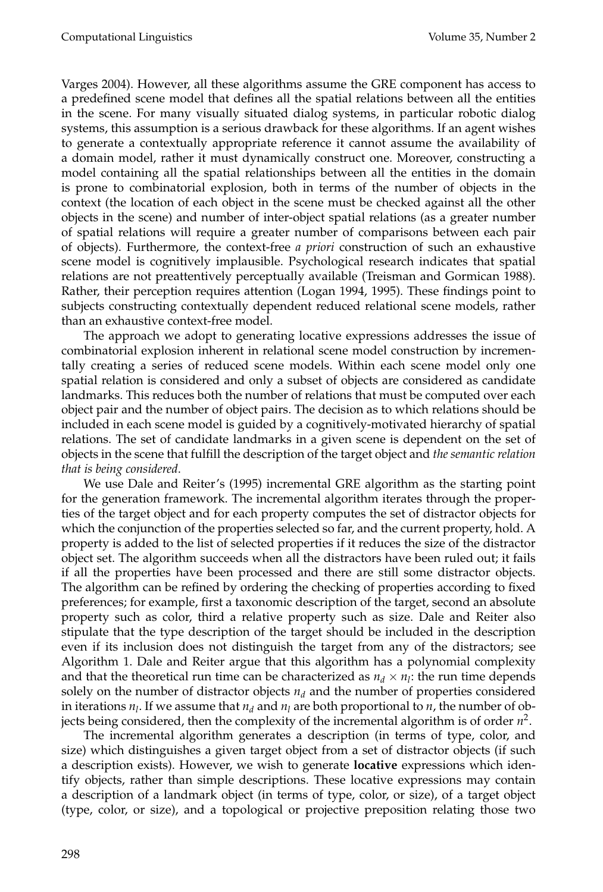Varges 2004). However, all these algorithms assume the GRE component has access to a predefined scene model that defines all the spatial relations between all the entities in the scene. For many visually situated dialog systems, in particular robotic dialog systems, this assumption is a serious drawback for these algorithms. If an agent wishes to generate a contextually appropriate reference it cannot assume the availability of a domain model, rather it must dynamically construct one. Moreover, constructing a model containing all the spatial relationships between all the entities in the domain is prone to combinatorial explosion, both in terms of the number of objects in the context (the location of each object in the scene must be checked against all the other objects in the scene) and number of inter-object spatial relations (as a greater number of spatial relations will require a greater number of comparisons between each pair of objects). Furthermore, the context-free *a priori* construction of such an exhaustive scene model is cognitively implausible. Psychological research indicates that spatial relations are not preattentively perceptually available (Treisman and Gormican 1988). Rather, their perception requires attention (Logan 1994, 1995). These findings point to subjects constructing contextually dependent reduced relational scene models, rather than an exhaustive context-free model.

The approach we adopt to generating locative expressions addresses the issue of combinatorial explosion inherent in relational scene model construction by incrementally creating a series of reduced scene models. Within each scene model only one spatial relation is considered and only a subset of objects are considered as candidate landmarks. This reduces both the number of relations that must be computed over each object pair and the number of object pairs. The decision as to which relations should be included in each scene model is guided by a cognitively-motivated hierarchy of spatial relations. The set of candidate landmarks in a given scene is dependent on the set of objects in the scene that fulfill the description of the target object and *the semantic relation that is being considered*.

We use Dale and Reiter's (1995) incremental GRE algorithm as the starting point for the generation framework. The incremental algorithm iterates through the properties of the target object and for each property computes the set of distractor objects for which the conjunction of the properties selected so far, and the current property, hold. A property is added to the list of selected properties if it reduces the size of the distractor object set. The algorithm succeeds when all the distractors have been ruled out; it fails if all the properties have been processed and there are still some distractor objects. The algorithm can be refined by ordering the checking of properties according to fixed preferences; for example, first a taxonomic description of the target, second an absolute property such as color, third a relative property such as size. Dale and Reiter also stipulate that the type description of the target should be included in the description even if its inclusion does not distinguish the target from any of the distractors; see Algorithm 1. Dale and Reiter argue that this algorithm has a polynomial complexity and that the theoretical run time can be characterized as  $n_d \times n_l$ : the run time depends solely on the number of distractor objects  $n_d$  and the number of properties considered in iterations  $n_l$ . If we assume that  $n_d$  and  $n_l$  are both proportional to  $n$ , the number of objects being considered, then the complexity of the incremental algorithm is of order  $n^2$ .

The incremental algorithm generates a description (in terms of type, color, and size) which distinguishes a given target object from a set of distractor objects (if such a description exists). However, we wish to generate **locative** expressions which identify objects, rather than simple descriptions. These locative expressions may contain a description of a landmark object (in terms of type, color, or size), of a target object (type, color, or size), anda topological or projective preposition relating those two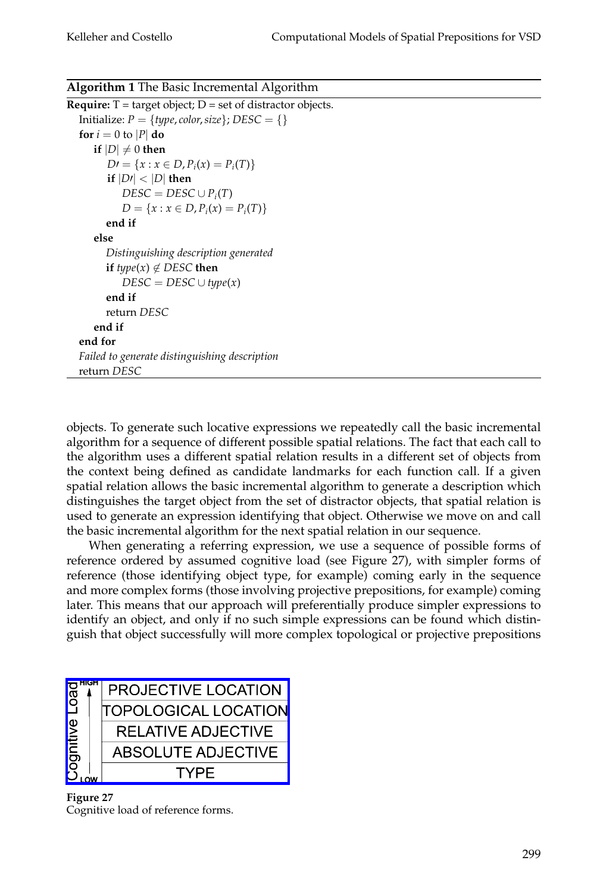|  |  | Algorithm 1 The Basic Incremental Algorithm |  |
|--|--|---------------------------------------------|--|
|  |  |                                             |  |

```
Require: T = \text{target object}; D = \text{set of distance objects.}Initialize: P = \{type, color, size\}; DESC = \{\}for i = 0 to |P| do
    \mathbf{if} \left| D \right| \neq 0 then
       D' = \{x : x \in D, P_i(x) = P_i(T)\}\if |D| < |D| then
           DESC = DESC \cup P_i(T)D = \{x : x \in D, P_i(x) = P_i(T)\}end if
    else
       Distinguishing description generated
       if type(x) \notin DESC then
           DESC = DESC \cup type(x)end if
       return DESC
    end if
end for
Failed to generate distinguishing description
return DESC
```
objects. To generate such locative expressions we repeatedly call the basic incremental algorithm for a sequence of different possible spatial relations. The fact that each call to the algorithm uses a different spatial relation results in a different set of objects from the context being defined as candidate landmarks for each function call. If a given spatial relation allows the basic incremental algorithm to generate a description which distinguishes the target object from the set of distractor objects, that spatial relation is used to generate an expression identifying that object. Otherwise we move on and call the basic incremental algorithm for the next spatial relation in our sequence.

When generating a referring expression, we use a sequence of possible forms of reference ordered by assumed cognitive load (see Figure 27), with simpler forms of reference (those identifying object type, for example) coming early in the sequence and more complex forms (those involving projective prepositions, for example) coming later. This means that our approach will preferentially produce simpler expressions to identify an object, and only if no such simple expressions can be found which distinguish that object successfully will more complex topological or projective prepositions



**Figure 27** Cognitive load of reference forms.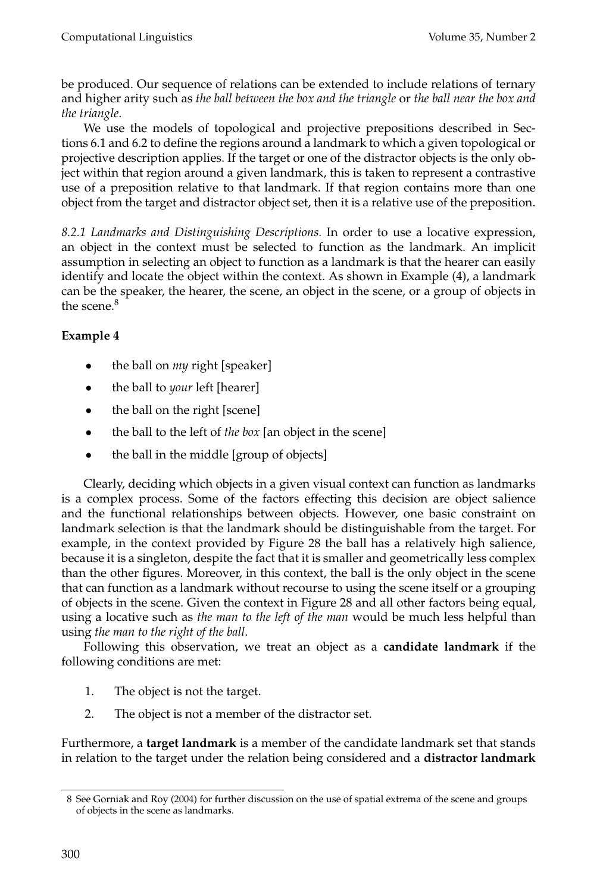be produced. Our sequence of relations can be extended to include relations of ternary and higher arity such as *the ball between the box and the triangle* or *the ball near the box and the triangle*.

We use the models of topological and projective prepositions described in Sections 6.1 and 6.2 to define the regions around a landmark to which a given topological or projective description applies. If the target or one of the distractor objects is the only object within that region around a given landmark, this is taken to represent a contrastive use of a preposition relative to that landmark. If that region contains more than one object from the target and distractor object set, then it is a relative use of the preposition.

*8.2.1 Landmarks and Distinguishing Descriptions.* In order to use a locative expression, an object in the context must be selected to function as the landmark. An implicit assumption in selecting an object to function as a landmark is that the hearer can easily identify and locate the object within the context. As shown in Example (4), a landmark can be the speaker, the hearer, the scene, an object in the scene, or a group of objects in the scene.<sup>8</sup>

# **Example 4**

- the ball on *my* right [speaker]
- the ball to *your* left [hearer]
- the ball on the right [scene]
- the ball to the left of *the box* [an object in the scene]
- the ball in the middle [group of objects]

Clearly, deciding which objects in a given visual context can function as landmarks is a complex process. Some of the factors effecting this decision are object salience and the functional relationships between objects. However, one basic constraint on landmark selection is that the landmark should be distinguishable from the target. For example, in the context provided by Figure 28 the ball has a relatively high salience, because it is a singleton, despite the fact that it is smaller and geometrically less complex than the other figures. Moreover, in this context, the ball is the only object in the scene that can function as a landmark without recourse to using the scene itself or a grouping of objects in the scene. Given the context in Figure 28 andall other factors being equal, using a locative such as *the man to the left of the man* would be much less helpful than using *the man to the right of the ball*.

Following this observation, we treat an object as a **candidate landmark** if the following conditions are met:

- 1. The object is not the target.
- 2. The object is not a member of the distractor set.

Furthermore, a **target landmark** is a member of the candidate landmark set that stands in relation to the target under the relation being considered and a **distractor landmark**

<sup>8</sup> See Gorniak and Roy (2004) for further discussion on the use of spatial extrema of the scene and groups of objects in the scene as landmarks.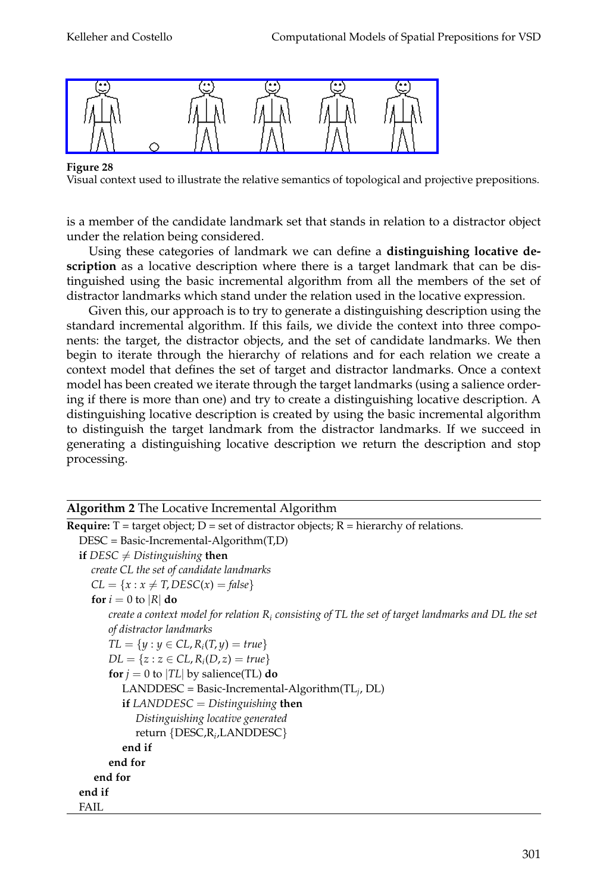

Visual context used to illustrate the relative semantics of topological and projective prepositions.

is a member of the candidate landmark set that stands in relation to a distractor object under the relation being considered.

Using these categories of landmark we can define a **distinguishing locative description** as a locative description where there is a target landmark that can be distinguished using the basic incremental algorithm from all the members of the set of distractor landmarks which stand under the relation used in the locative expression.

Given this, our approach is to try to generate a distinguishing description using the standard incremental algorithm. If this fails, we divide the context into three components: the target, the distractor objects, and the set of candidate landmarks. We then begin to iterate through the hierarchy of relations and for each relation we create a context model that defines the set of target and distractor landmarks. Once a context model has been created we iterate through the target landmarks (using a salience ordering if there is more than one) and try to create a distinguishing locative description. A distinguishing locative description is created by using the basic incremental algorithm to distinguish the target landmark from the distractor landmarks. If we succeed in generating a distinguishing locative description we return the description and stop processing.

| <b>Algorithm 2</b> The Locative Incremental Algorithm                                                 |
|-------------------------------------------------------------------------------------------------------|
| <b>Require:</b> $T =$ target object; $D =$ set of distractor objects; $R =$ hierarchy of relations.   |
| $DESC = Basic-Incremental-Algorithms(T,D)$                                                            |
| <b>if</b> DESC $\neq$ Distinguishing then                                                             |
| create CL the set of candidate landmarks                                                              |
| $CL = \{x : x \neq T, DESC(x) = false\}$                                                              |
| for $i = 0$ to  R  do                                                                                 |
| create a context model for relation $R_i$ consisting of TL the set of target landmarks and DL the set |
| of distractor landmarks                                                                               |
| $TL = \{y : y \in CL, R_i(T, y) = true\}$                                                             |
| $DL = \{z : z \in CL, R_i(D, z) = true\}$                                                             |
| for $j = 0$ to  TL  by salience(TL) do                                                                |
| LANDDESC = Basic-Incremental-Algorithm(TL <sub>i</sub> , DL)                                          |
| <b>if</b> LANDDESC = Distinguishing <b>then</b>                                                       |
| Distinguishing locative generated                                                                     |
| return $\{DESC, R_i, LANDDESC\}$                                                                      |
| end if                                                                                                |
| end for                                                                                               |
| end for                                                                                               |
| end if                                                                                                |
| FAIL                                                                                                  |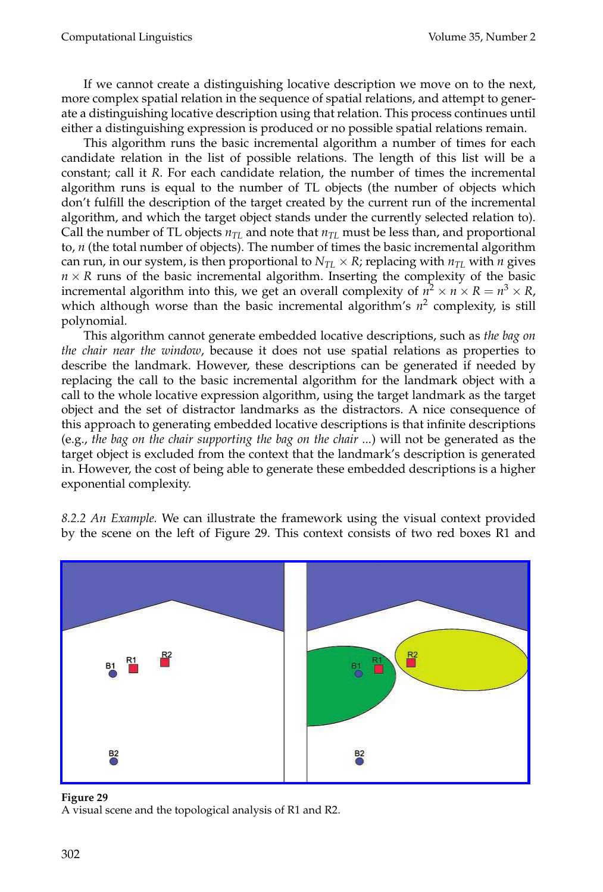If we cannot create a distinguishing locative description we move on to the next, more complex spatial relation in the sequence of spatial relations, and attempt to generate a distinguishing locative description using that relation. This process continues until either a distinguishing expression is produced or no possible spatial relations remain.

This algorithm runs the basic incremental algorithm a number of times for each candidate relation in the list of possible relations. The length of this list will be a constant; call it *R*. For each candidate relation, the number of times the incremental algorithm runs is equal to the number of TL objects (the number of objects which don't fulfill the description of the target created by the current run of the incremental algorithm, and which the target object stands under the currently selected relation to). Call the number of TL objects  $n_{TL}$  and note that  $n_{TL}$  must be less than, and proportional to, *n* (the total number of objects). The number of times the basic incremental algorithm can run, in our system, is then proportional to  $N_{TL} \times R$ ; replacing with  $n_{TL}$  with *n* gives  $n \times R$  runs of the basic incremental algorithm. Inserting the complexity of the basic incremental algorithm into this, we get an overall complexity of  $n^2 \times n \times R = n^3 \times R$ , which although worse than the basic incremental algorithm's  $n^2$  complexity, is still polynomial.

This algorithm cannot generate embedded locative descriptions, such as *the bag on the chair near the window*, because it does not use spatial relations as properties to describe the landmark. However, these descriptions can be generated if needed by replacing the call to the basic incremental algorithm for the landmark object with a call to the whole locative expression algorithm, using the target landmark as the target object and the set of distractor landmarks as the distractors. A nice consequence of this approach to generating embedded locative descriptions is that infinite descriptions (e.g., the bag on the chair supporting the bag on the chair ...) will not be generated as the target object is excluded from the context that the landmark's description is generated in. However, the cost of being able to generate these embedded descriptions is a higher exponential complexity.

*8.2.2 An Example.* We can illustrate the framework using the visual context provided by the scene on the left of Figure 29. This context consists of two red boxes R1 and



### **Figure 29**

A visual scene and the topological analysis of R1 and R2.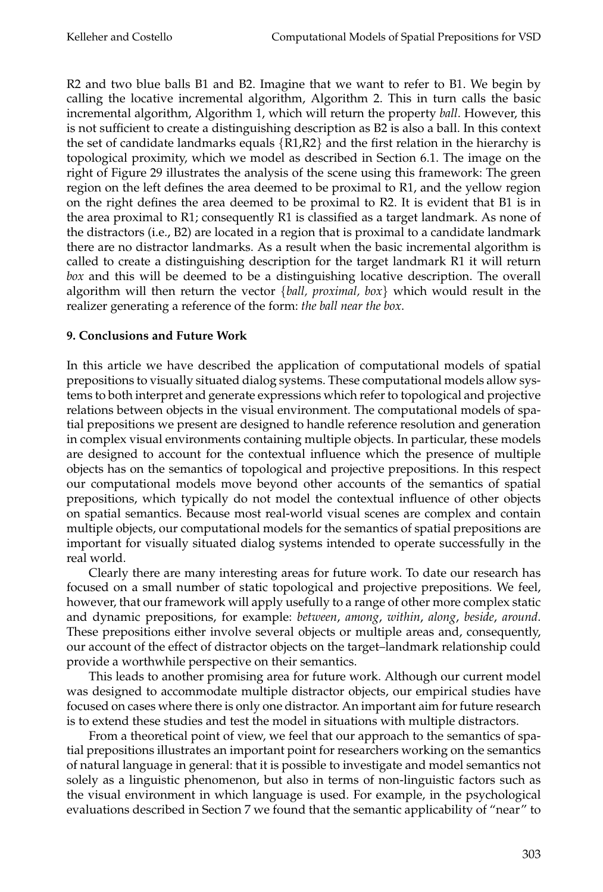R2 and two blue balls B1 and B2. Imagine that we want to refer to B1. We begin by calling the locative incremental algorithm, Algorithm 2. This in turn calls the basic incremental algorithm, Algorithm 1, which will return the property *ball*. However, this is not sufficient to create a distinguishing description as B2 is also a ball. In this context the set of candidate landmarks equals  $\{R1, R2\}$  and the first relation in the hierarchy is topological proximity, which we model as described in Section 6.1. The image on the right of Figure 29 illustrates the analysis of the scene using this framework: The green region on the left defines the area deemed to be proximal to R1, and the yellow region on the right defines the area deemed to be proximal to R2. It is evident that B1 is in the area proximal to R1; consequently R1 is classifiedas a target landmark. As none of the distractors (i.e., B2) are located in a region that is proximal to a candidate landmark there are no distractor landmarks. As a result when the basic incremental algorithm is called to create a distinguishing description for the target landmark R1 it will return *box* and this will be deemed to be a distinguishing locative description. The overall algorithm will then return the vector  $\{ball, proximal, box\}$  which would result in the realizer generating a reference of the form: *the ball near the box*.

# **9. Conclusions and Future Work**

In this article we have described the application of computational models of spatial prepositions to visually situated dialog systems. These computational models allow systems to both interpret and generate expressions which refer to topological and projective relations between objects in the visual environment. The computational models of spatial prepositions we present are designed to handle reference resolution and generation in complex visual environments containing multiple objects. In particular, these models are designed to account for the contextual influence which the presence of multiple objects has on the semantics of topological and projective prepositions. In this respect our computational models move beyond other accounts of the semantics of spatial prepositions, which typically do not model the contextual influence of other objects on spatial semantics. Because most real-world visual scenes are complex and contain multiple objects, our computational models for the semantics of spatial prepositions are important for visually situated dialog systems intended to operate successfully in the real world.

Clearly there are many interesting areas for future work. To date our research has focused on a small number of static topological and projective prepositions. We feel, however, that our framework will apply usefully to a range of other more complex static anddynamic prepositions, for example: *between*, *among*, *within*, *along*, *beside*, *around*. These prepositions either involve several objects or multiple areas and, consequently, our account of the effect of distractor objects on the target–landmark relationship could provide a worthwhile perspective on their semantics.

This leads to another promising area for future work. Although our current model was designed to accommodate multiple distractor objects, our empirical studies have focused on cases where there is only one distractor. An important aim for future research is to extend these studies and test the model in situations with multiple distractors.

From a theoretical point of view, we feel that our approach to the semantics of spatial prepositions illustrates an important point for researchers working on the semantics of natural language in general: that it is possible to investigate andmodel semantics not solely as a linguistic phenomenon, but also in terms of non-linguistic factors such as the visual environment in which language is used. For example, in the psychological evaluations described in Section 7 we found that the semantic applicability of "near" to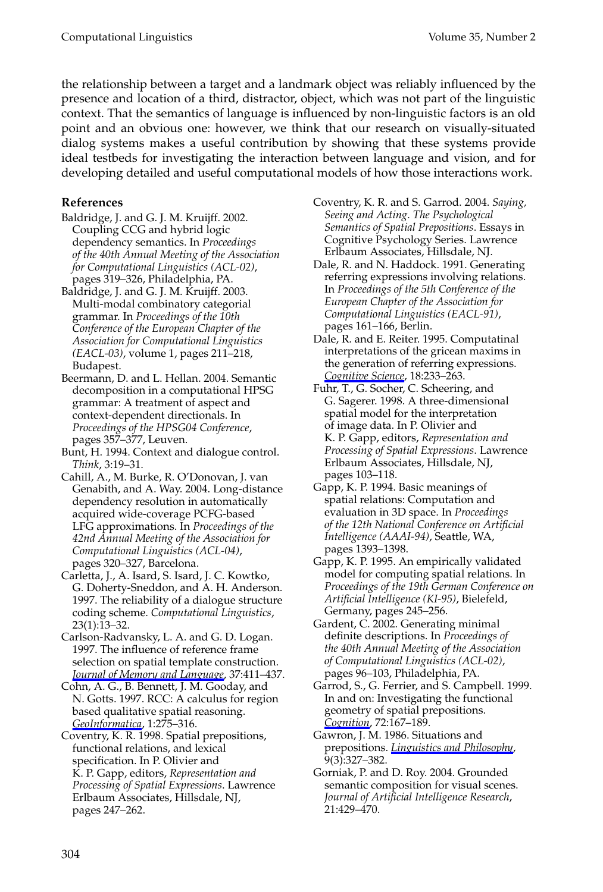the relationship between a target and a landmark object was reliably influenced by the presence and location of a third, distractor, object, which was not part of the linguistic context. That the semantics of language is influenced by non-linguistic factors is an old point and an obvious one: however, we think that our research on visually-situated dialog systems makes a useful contribution by showing that these systems provide ideal testbeds for investigating the interaction between language and vision, and for developing detailed and useful computational models of how those interactions work.

# **References**

- Baldridge, J. and G. J. M. Kruijff. 2002. Coupling CCG and hybrid logic dependency semantics. In *Proceedings of the 40th Annual Meeting of the Association for Computational Linguistics (ACL-02)*, pages 319–326, Philadelphia, PA.
- Baldridge, J. and G. J. M. Kruijff. 2003. Multi-modal combinatory categorial grammar. In *Proceedings of the 10th Conference of the European Chapter of the Association for Computational Linguistics (EACL-03)*, volume 1, pages 211–218, Budapest.
- Beermann, D. and L. Hellan. 2004. Semantic decomposition in a computational HPSG grammar: A treatment of aspect and context-dependent directionals. In *Proceedings of the HPSG04 Conference*, pages 357–377, Leuven.
- Bunt, H. 1994. Context and dialogue control. *Think*, 3:19–31.
- Cahill, A., M. Burke, R. O'Donovan, J. van Genabith, and A. Way. 2004. Long-distance dependency resolution in automatically acquired wide-coverage PCFG-based LFG approximations. In *Proceedings of the 42nd Annual Meeting of the Association for Computational Linguistics (ACL-04)*, pages 320–327, Barcelona.
- Carletta, J., A. Isard, S. Isard, J. C. Kowtko, G. Doherty-Sneddon, and A. H. Anderson. 1997. The reliability of a dialogue structure coding scheme. *Computational Linguistics*, 23(1):13–32.
- Carlson-Radvansky, L. A. and G. D. Logan. 1997. The influence of reference frame selection on spatial template construction. *Journal of Memory and Language*, 37:411–437.
- Cohn, A. G., B. Bennett, J. M. Gooday, and N. Gotts. 1997. RCC: A calculus for region based qualitative spatial reasoning. *GeoInformatica*, 1:275–316.
- Coventry, K. R. 1998. Spatial prepositions, functional relations, and lexical specification. In P. Olivier and K. P. Gapp, editors, *Representation and Processing of Spatial Expressions*. Lawrence Erlbaum Associates, Hillsdale, NJ, pages 247–262.
- Coventry, K. R. and S. Garrod. 2004. Saying, *Seeing and Acting. The Psychological Semantics of Spatial Prepositions*. Essays in Cognitive Psychology Series. Lawrence Erlbaum Associates, Hillsdale, NJ.
- Dale, R. and N. Haddock. 1991. Generating referring expressions involving relations. In *Proceedings of the 5th Conference of the European Chapter of the Association for Computational Linguistics (EACL-91)*, pages 161–166, Berlin.
- Dale, R. and E. Reiter. 1995. Computatinal interpretations of the gricean maxims in the generation of referring expressions. *Cognitive Science*, 18:233–263.
- Fuhr, T., G. Socher, C. Scheering, and G. Sagerer. 1998. A three-dimensional spatial model for the interpretation of image data. In P. Olivier and K. P. Gapp, editors, *Representation and Processing of Spatial Expressions*. Lawrence Erlbaum Associates, Hillsdale, NJ, pages 103–118.
- Gapp, K. P. 1994. Basic meanings of spatial relations: Computation and evaluation in 3D space. In *Proceedings of the 12th National Conference on Artificial Intelligence (AAAI-94)*, Seattle, WA, pages 1393–1398.
- Gapp, K. P. 1995. An empirically validated model for computing spatial relations. In *Proceedings of the 19th German Conference on Artificial Intelligence (KI-95)*, Bielefeld, Germany, pages 245–256.
- Gardent, C. 2002. Generating minimal definite descriptions. In *Proceedings of the 40th Annual Meeting of the Association of Computational Linguistics (ACL-02)*, pages 96–103, Philadelphia, PA.
- Garrod, S., G. Ferrier, and S. Campbell. 1999. In and on: Investigating the functional geometry of spatial prepositions. *Cognition*, 72:167–189.
- Gawron, J. M. 1986. Situations and prepositions. *Linguistics and Philosophy*, 9(3):327–382.
- Gorniak, P. and D. Roy. 2004. Grounded semantic composition for visual scenes. *Journal of Artificial Intelligence Research*, 21:429–470.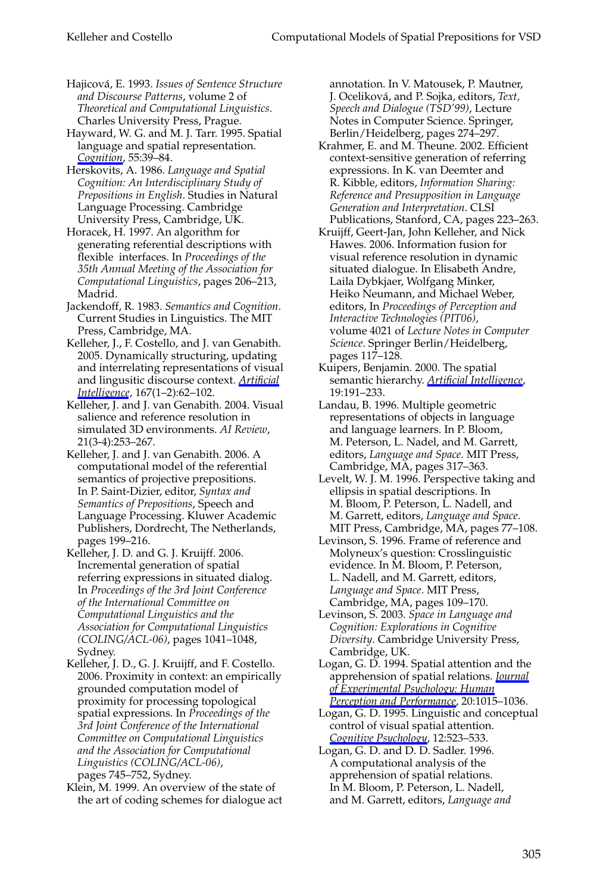Hajicová, E. 1993. Issues of Sentence Structure *and Discourse Patterns*, volume 2 of *Theoretical and Computational Linguistics*. Charles University Press, Prague.

Hayward, W. G. and M. J. Tarr. 1995. Spatial language and spatial representation. *Cognition*, 55:39–84.

Herskovits, A. 1986. *Language and Spatial Cognition: An Interdisciplinary Study of Prepositions in English*. Studies in Natural Language Processing. Cambridge University Press, Cambridge, UK.

Horacek, H. 1997. An algorithm for generating referential descriptions with flexible interfaces. In *Proceedings of the 35th Annual Meeting of the Association for Computational Linguistics*, pages 206–213, Madrid.

Jackendoff, R. 1983. *Semantics and Cognition*. Current Studies in Linguistics. The MIT Press, Cambridge, MA.

Kelleher, J., F. Costello, and J. van Genabith. 2005. Dynamically structuring, updating and interrelating representations of visual and lingusitic discourse context. **Artificial** *Intelligence*, 167(1–2):62–102.

Kelleher, J. and J. van Genabith. 2004. Visual salience and reference resolution in simulated3D environments. *AI Review*, 21(3-4):253–267.

Kelleher, J. and J. van Genabith. 2006. A computational model of the referential semantics of projective prepositions. In P. Saint-Dizier, editor, *Syntax and Semantics of Prepositions*, Speech and Language Processing. Kluwer Academic Publishers, Dordrecht, The Netherlands, pages 199–216.

Kelleher, J. D. and G. J. Kruijff. 2006. Incremental generation of spatial referring expressions in situated dialog. In *Proceedings of the 3rd Joint Conference of the International Committee on Computational Linguistics and the Association for Computational Linguistics (COLING/ACL-06)*, pages 1041–1048, Sydney.

Kelleher, J. D., G. J. Kruijff, and F. Costello. 2006. Proximity in context: an empirically grounded computation model of proximity for processing topological spatial expressions. In *Proceedings of the 3rd Joint Conference of the International Committee on Computational Linguistics and the Association for Computational Linguistics (COLING/ACL-06)*, pages 745–752, Sydney.

Klein, M. 1999. An overview of the state of the art of coding schemes for dialogue act annotation. In V. Matousek, P. Mautner, J. Oceliková, and P. Sojka, editors, *Text*, *Speech and Dialogue (TSD'99)*, Lecture Notes in Computer Science. Springer, Berlin/Heidelberg, pages 274–297.

- Krahmer, E. and M. Theune. 2002. Efficient context-sensitive generation of referring expressions. In K. van Deemter and R. Kibble, editors, *Information Sharing: Reference and Presupposition in Language Generation and Interpretation*. CLSI Publications, Stanford, CA, pages 223–263.
- Kruijff, Geert-Jan, John Kelleher, and Nick Hawes. 2006. Information fusion for visual reference resolution in dynamic situated dialogue. In Elisabeth Andre, Laila Dybkjaer, Wolfgang Minker, Heiko Neumann, and Michael Weber, editors, In *Proceedings of Perception and Interactive Technologies (PIT06)*, volume 4021 of *Lecture Notes in Computer Science*. Springer Berlin/Heidelberg, pages 117–128.
- Kuipers, Benjamin. 2000. The spatial semantic hierarchy. *Artificial Intelligence*, 19:191–233.
- Landau, B. 1996. Multiple geometric representations of objects in language and language learners. In P. Bloom, M. Peterson, L. Nadel, and M. Garrett, editors, *Language and Space*. MIT Press, Cambridge, MA, pages 317–363.
- Levelt, W. J. M. 1996. Perspective taking and ellipsis in spatial descriptions. In M. Bloom, P. Peterson, L. Nadell, and M. Garrett, editors, *Language and Space*. MIT Press, Cambridge, MA, pages 77–108.
- Levinson, S. 1996. Frame of reference and Molyneux's question: Crosslinguistic evidence. In M. Bloom, P. Peterson, L. Nadell, and M. Garrett, editors, *Language and Space*. MIT Press, Cambridge, MA, pages 109–170.
- Levinson, S. 2003. *Space in Language and Cognition: Explorations in Cognitive Diversity*. Cambridge University Press, Cambridge, UK.

Logan, G. D. 1994. Spatial attention and the apprehension of spatial relations. *Journal of Experimental Psychology: Human Perception and Performance*, 20:1015–1036.

Logan, G. D. 1995. Linguistic and conceptual control of visual spatial attention. *Cognitive Psychology*, 12:523–533.

Logan, G. D. and D. D. Sadler. 1996. A computational analysis of the apprehension of spatial relations. In M. Bloom, P. Peterson, L. Nadell, andM. Garrett, editors, *Language and*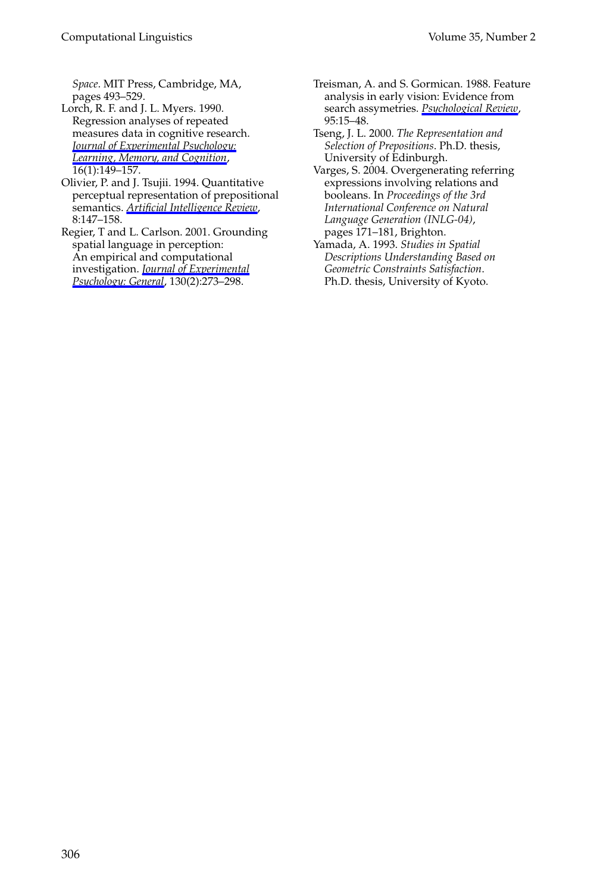*Space*. MIT Press, Cambridge, MA, pages 493–529.

- Lorch, R. F. and J. L. Myers. 1990. Regression analyses of repeated measures data in cognitive research. *Journal of Experimental Psychology: Learning, Memory, and Cognition*, 16(1):149–157.
- Olivier, P. and J. Tsujii. 1994. Quantitative perceptual representation of prepositional semantics. *Artificial Intelligence Review*, 8:147–158.

Regier, T and L. Carlson. 2001. Grounding spatial language in perception: An empirical and computational investigation. *Journal of Experimental Psychology: General*, 130(2):273–298.

- Treisman, A. and S. Gormican. 1988. Feature analysis in early vision: Evidence from search assymetries. *Psychological Review*, 95:15–48.
- Tseng, J. L. 2000. *The Representation and Selection of Prepositions*. Ph.D. thesis, University of Edinburgh.
- Varges, S. 2004. Overgenerating referring expressions involving relations and booleans. In *Proceedings of the 3rd International Conference on Natural Language Generation (INLG-04)*, pages 171–181, Brighton.
- Yamada, A. 1993. *Studies in Spatial Descriptions Understanding Based on Geometric Constraints Satisfaction*. Ph.D. thesis, University of Kyoto.